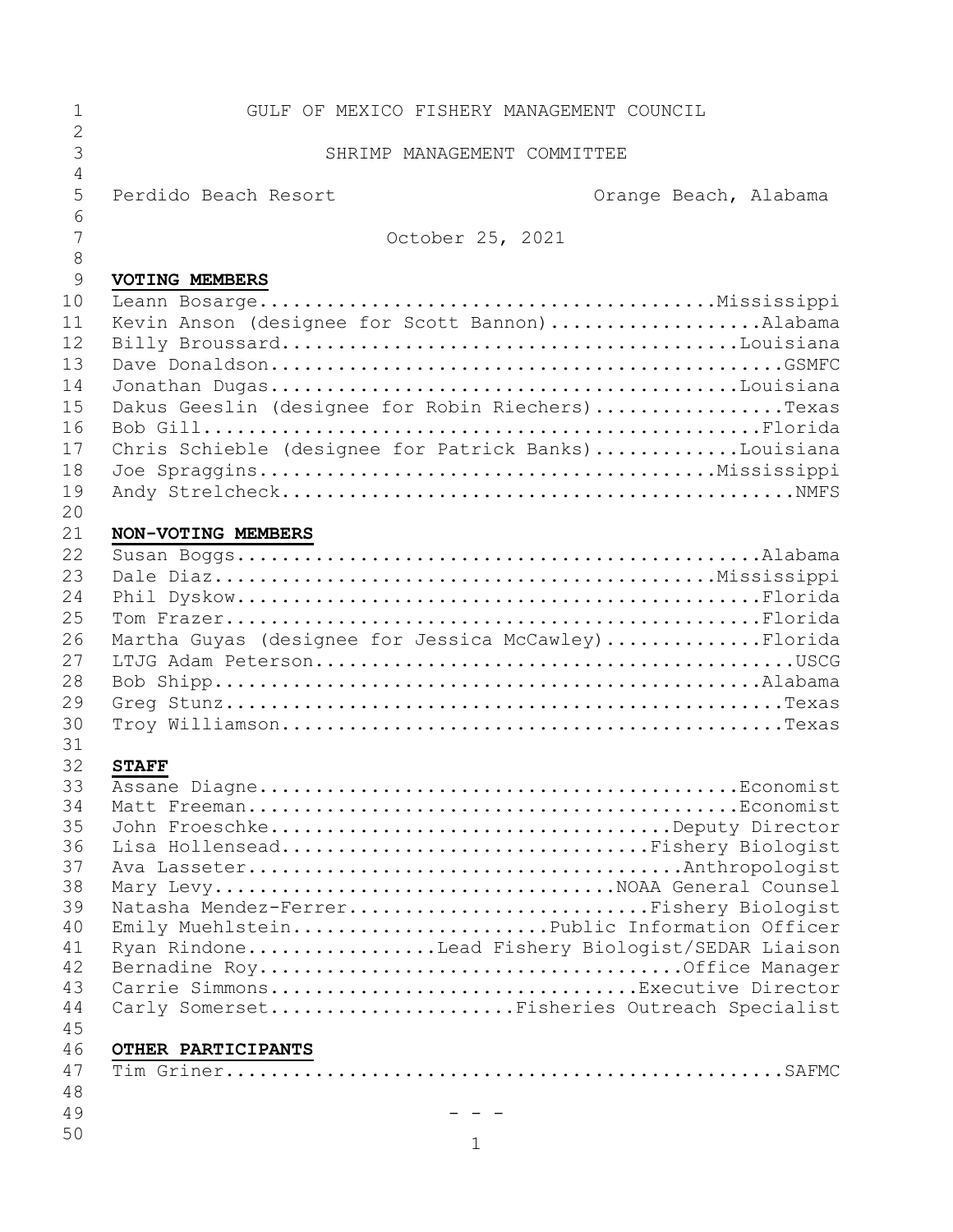| $\mathbf 1$         | GULF OF MEXICO FISHERY MANAGEMENT COUNCIL            |                       |
|---------------------|------------------------------------------------------|-----------------------|
| $\overline{2}$<br>3 | SHRIMP MANAGEMENT COMMITTEE                          |                       |
| 4<br>5              | Perdido Beach Resort                                 | Orange Beach, Alabama |
| 6<br>7              | October 25, 2021                                     |                       |
| 8                   |                                                      |                       |
| $\overline{9}$      | <b>VOTING MEMBERS</b>                                |                       |
| 10                  |                                                      |                       |
| 11                  | Kevin Anson (designee for Scott Bannon)Alabama       |                       |
| 12                  |                                                      |                       |
| 13                  |                                                      |                       |
| 14                  |                                                      |                       |
| 15                  | Dakus Geeslin (designee for Robin Riechers)Texas     |                       |
| 16                  |                                                      |                       |
| 17                  | Chris Schieble (designee for Patrick Banks)Louisiana |                       |
| 18                  |                                                      |                       |
| 19                  |                                                      |                       |
| 20                  |                                                      |                       |
| 21                  | NON-VOTING MEMBERS                                   |                       |
| 22<br>23            |                                                      |                       |
| 24                  |                                                      |                       |
| 25                  |                                                      |                       |
| 26                  | Martha Guyas (designee for Jessica McCawley)Florida  |                       |
| 27                  |                                                      |                       |
| 28                  |                                                      |                       |
| 29                  |                                                      |                       |
| 30                  |                                                      |                       |
| 31                  |                                                      |                       |
| 32                  | <b>STAFF</b>                                         |                       |
| 33                  |                                                      |                       |
| 34                  |                                                      |                       |
| 35                  | John FroeschkeDeputy Director                        |                       |
| 36                  | Lisa HollenseadFishery Biologist                     |                       |
| 37                  |                                                      |                       |
| 38                  | Mary LevyNOAA General Counsel                        |                       |
| 39                  | Natasha Mendez-FerrerFishery Biologist               |                       |
| 40                  | Emily MuehlsteinPublic Information Officer           |                       |
| 41<br>42            | Ryan RindoneLead Fishery Biologist/SEDAR Liaison     |                       |
| 43                  | Carrie SimmonsExecutive Director                     |                       |
| 44                  | Carly SomersetFisheries Outreach Specialist          |                       |
| 45                  |                                                      |                       |
| 46                  | OTHER PARTICIPANTS                                   |                       |
| 47                  |                                                      |                       |
| 48                  |                                                      |                       |
| 49                  |                                                      |                       |
| 50                  | 1                                                    |                       |
|                     |                                                      |                       |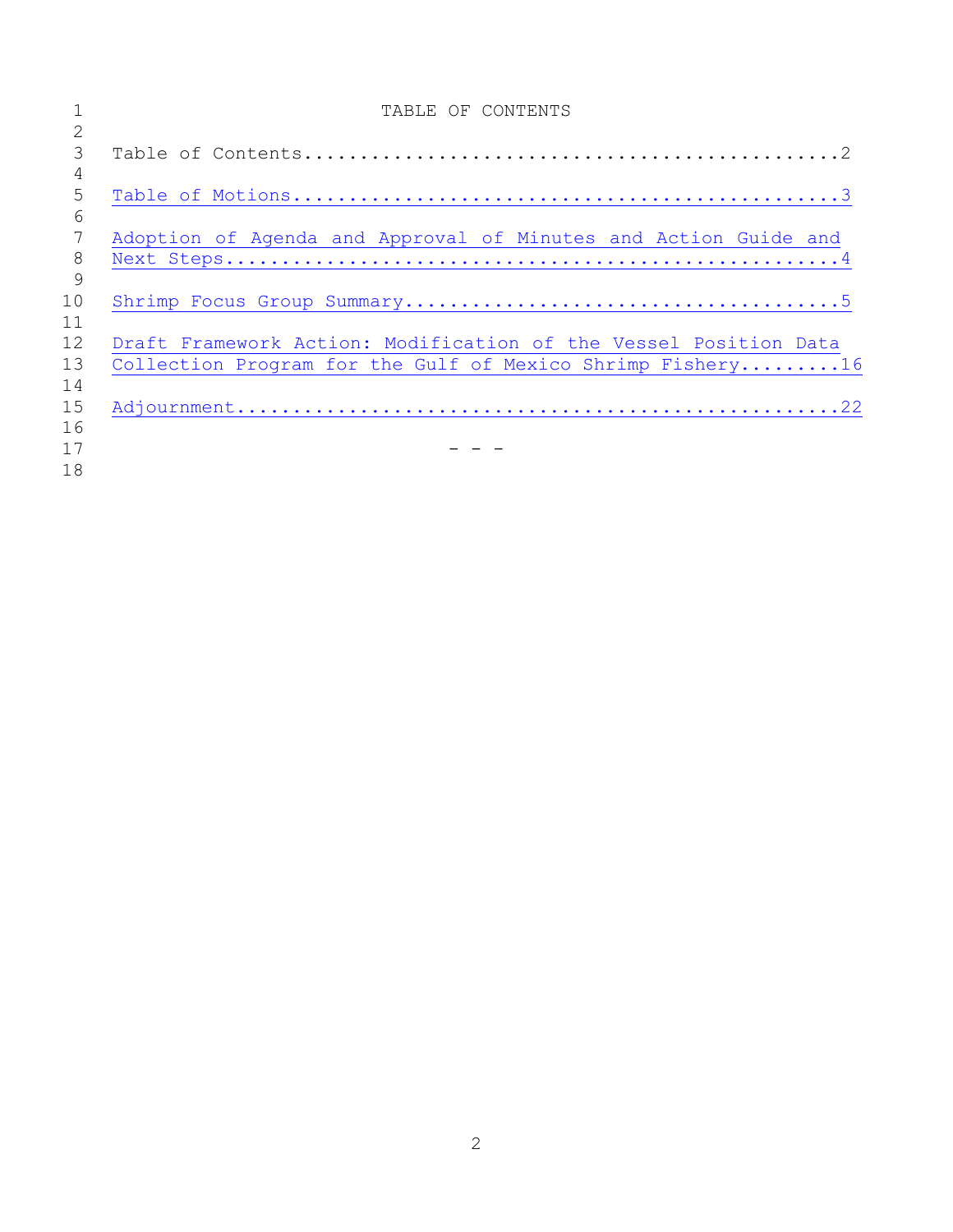|                | TABLE OF CONTENTS                                                |
|----------------|------------------------------------------------------------------|
| 2              |                                                                  |
| 3              |                                                                  |
| $\overline{4}$ |                                                                  |
| 5              |                                                                  |
| 6              |                                                                  |
| 7              | Adoption of Agenda and Approval of Minutes and Action Guide and  |
| 8              |                                                                  |
| 9              |                                                                  |
| 10             |                                                                  |
| 11             |                                                                  |
| 12             | Draft Framework Action: Modification of the Vessel Position Data |
| 13             | Collection Program for the Gulf of Mexico Shrimp Fishery16       |
| 14             |                                                                  |
| 15             |                                                                  |
| 16             |                                                                  |
| 17             |                                                                  |
| 18             |                                                                  |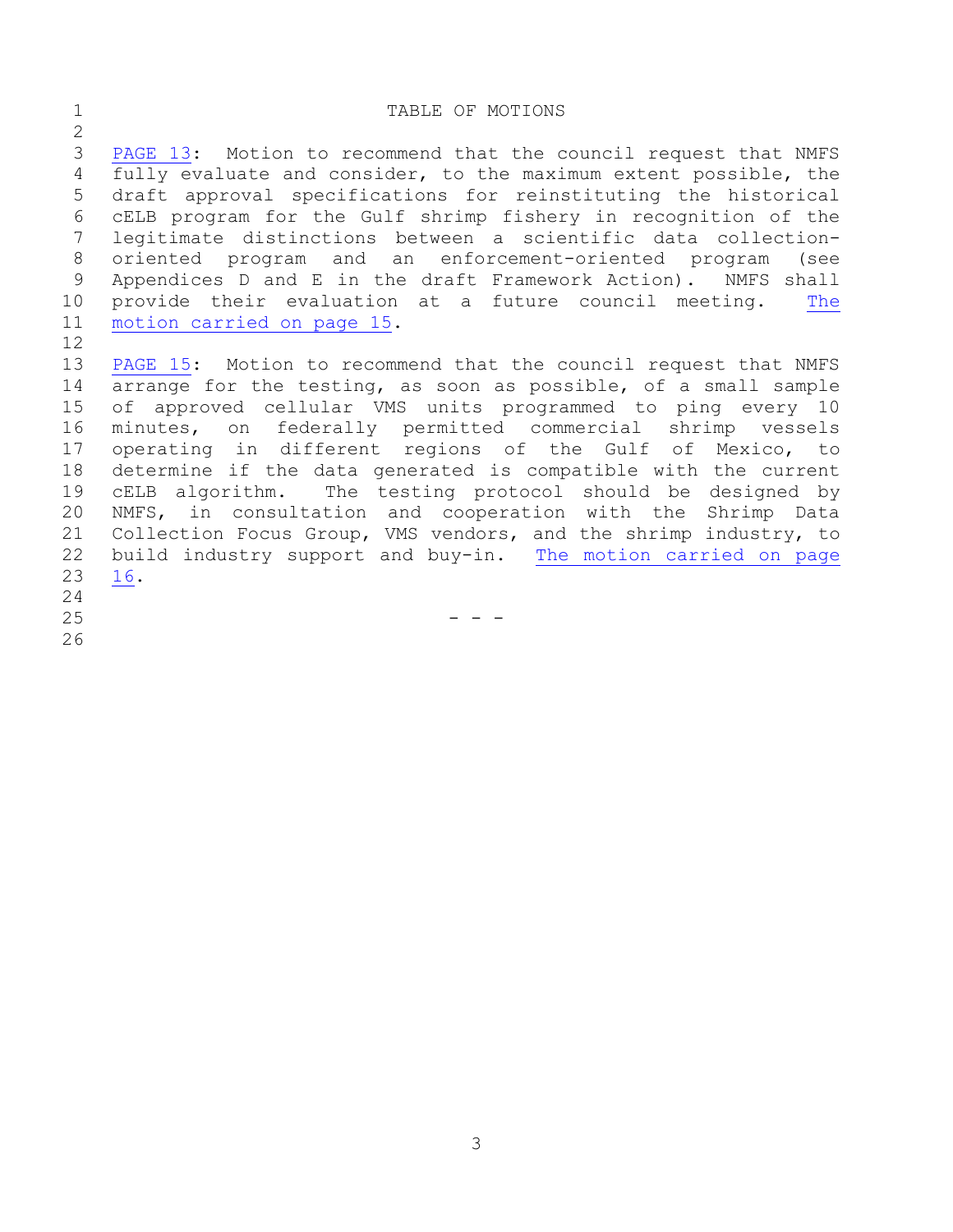## <span id="page-2-0"></span>1 TABLE OF MOTIONS

 [PAGE](#page-12-0) 13: Motion to recommend that the council request that NMFS fully evaluate and consider, to the maximum extent possible, the draft approval specifications for reinstituting the historical cELB program for the Gulf shrimp fishery in recognition of the legitimate distinctions between a scientific data collection- oriented program and an enforcement-oriented program (see Appendices D and E in the draft Framework Action). NMFS shall provide their evaluation at a future council meeting. [The](#page-14-0) motion [carried](#page-14-0) on page 15.

 [PAGE](#page-14-1) 15: Motion to recommend that the council request that NMFS arrange for the testing, as soon as possible, of a small sample of approved cellular VMS units programmed to ping every 10 minutes, on federally permitted commercial shrimp vessels operating in different regions of the Gulf of Mexico, to determine if the data generated is compatible with the current cELB algorithm. The testing protocol should be designed by NMFS, in consultation and cooperation with the Shrimp Data Collection Focus Group, VMS vendors, and the shrimp industry, to build industry support and buy-in. The motion [carried](#page-15-1) on page [16.](#page-15-1)

- 
- 
- $-$
-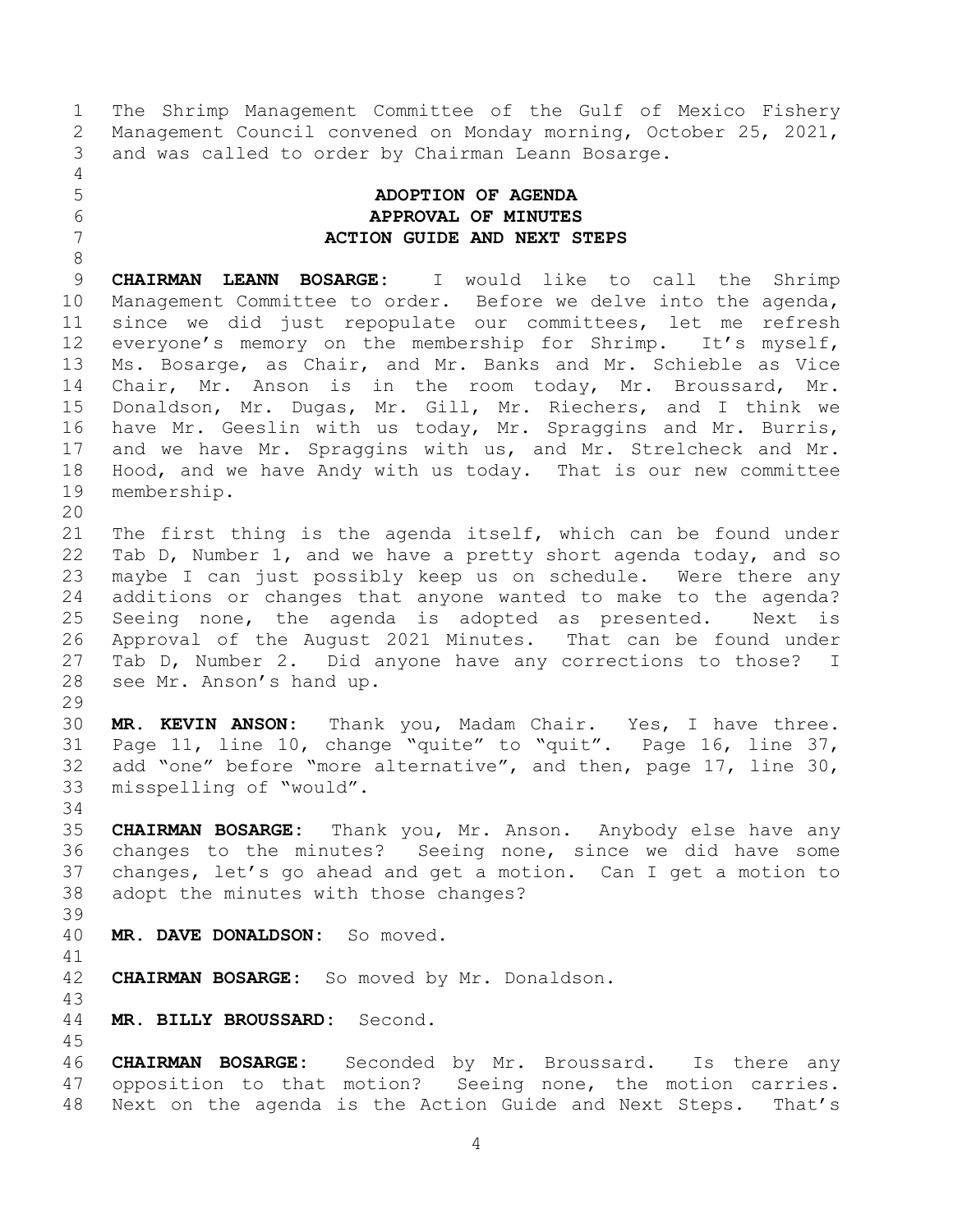The Shrimp Management Committee of the Gulf of Mexico Fishery Management Council convened on Monday morning, October 25, 2021, and was called to order by Chairman Leann Bosarge.

## <span id="page-3-0"></span> **ADOPTION OF AGENDA APPROVAL OF MINUTES ACTION GUIDE AND NEXT STEPS**

 **CHAIRMAN LEANN BOSARGE:** I would like to call the Shrimp Management Committee to order. Before we delve into the agenda, since we did just repopulate our committees, let me refresh everyone's memory on the membership for Shrimp. It's myself, Ms. Bosarge, as Chair, and Mr. Banks and Mr. Schieble as Vice Chair, Mr. Anson is in the room today, Mr. Broussard, Mr. Donaldson, Mr. Dugas, Mr. Gill, Mr. Riechers, and I think we have Mr. Geeslin with us today, Mr. Spraggins and Mr. Burris, and we have Mr. Spraggins with us, and Mr. Strelcheck and Mr. Hood, and we have Andy with us today. That is our new committee membership.

 The first thing is the agenda itself, which can be found under Tab D, Number 1, and we have a pretty short agenda today, and so maybe I can just possibly keep us on schedule. Were there any additions or changes that anyone wanted to make to the agenda? Seeing none, the agenda is adopted as presented. Next is Approval of the August 2021 Minutes. That can be found under Tab D, Number 2. Did anyone have any corrections to those? I see Mr. Anson's hand up.

 **MR. KEVIN ANSON:** Thank you, Madam Chair. Yes, I have three. Page 11, line 10, change "quite" to "quit". Page 16, line 37, add "one" before "more alternative", and then, page 17, line 30, misspelling of "would".

 **CHAIRMAN BOSARGE:** Thank you, Mr. Anson. Anybody else have any changes to the minutes? Seeing none, since we did have some changes, let's go ahead and get a motion. Can I get a motion to adopt the minutes with those changes?

**MR. DAVE DONALDSON:** So moved.

**CHAIRMAN BOSARGE:** So moved by Mr. Donaldson.

**MR. BILLY BROUSSARD:** Second.

 **CHAIRMAN BOSARGE:** Seconded by Mr. Broussard. Is there any opposition to that motion? Seeing none, the motion carries. Next on the agenda is the Action Guide and Next Steps. That's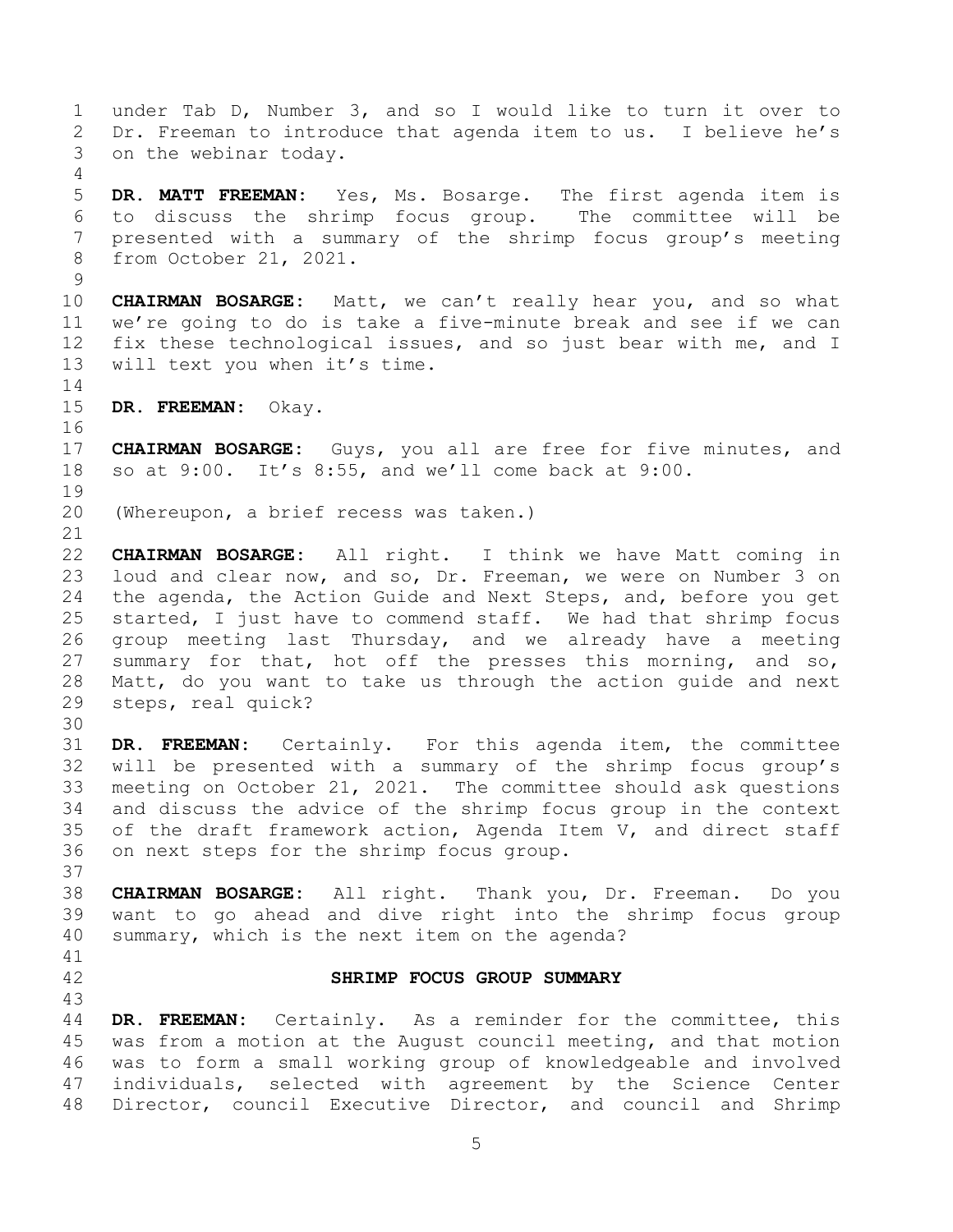under Tab D, Number 3, and so I would like to turn it over to Dr. Freeman to introduce that agenda item to us. I believe he's on the webinar today.

 **DR. MATT FREEMAN:** Yes, Ms. Bosarge. The first agenda item is to discuss the shrimp focus group. The committee will be presented with a summary of the shrimp focus group's meeting from October 21, 2021.

 **CHAIRMAN BOSARGE:** Matt, we can't really hear you, and so what we're going to do is take a five-minute break and see if we can fix these technological issues, and so just bear with me, and I will text you when it's time.

**DR. FREEMAN:** Okay.

 **CHAIRMAN BOSARGE:** Guys, you all are free for five minutes, and so at 9:00. It's 8:55, and we'll come back at 9:00. 

(Whereupon, a brief recess was taken.)

 **CHAIRMAN BOSARGE:** All right. I think we have Matt coming in loud and clear now, and so, Dr. Freeman, we were on Number 3 on the agenda, the Action Guide and Next Steps, and, before you get started, I just have to commend staff. We had that shrimp focus group meeting last Thursday, and we already have a meeting 27 summary for that, hot off the presses this morning, and so, Matt, do you want to take us through the action guide and next steps, real quick?

 **DR. FREEMAN:** Certainly. For this agenda item, the committee will be presented with a summary of the shrimp focus group's meeting on October 21, 2021. The committee should ask questions and discuss the advice of the shrimp focus group in the context of the draft framework action, Agenda Item V, and direct staff on next steps for the shrimp focus group.

 **CHAIRMAN BOSARGE:** All right. Thank you, Dr. Freeman. Do you want to go ahead and dive right into the shrimp focus group summary, which is the next item on the agenda?

## <span id="page-4-0"></span>**SHRIMP FOCUS GROUP SUMMARY**

 **DR. FREEMAN:** Certainly. As a reminder for the committee, this was from a motion at the August council meeting, and that motion was to form a small working group of knowledgeable and involved individuals, selected with agreement by the Science Center Director, council Executive Director, and council and Shrimp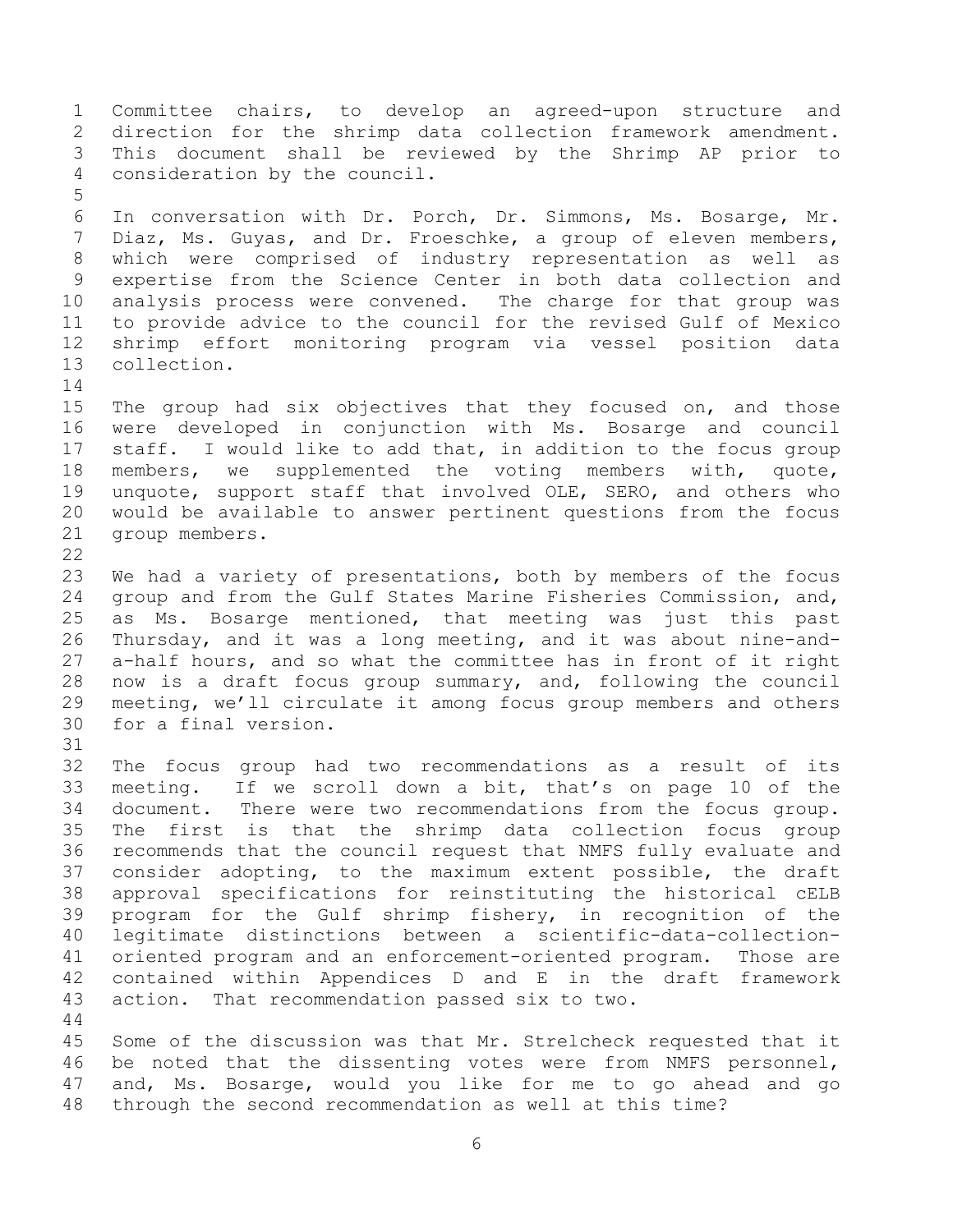Committee chairs, to develop an agreed-upon structure and direction for the shrimp data collection framework amendment. This document shall be reviewed by the Shrimp AP prior to consideration by the council. 

 In conversation with Dr. Porch, Dr. Simmons, Ms. Bosarge, Mr. Diaz, Ms. Guyas, and Dr. Froeschke, a group of eleven members, which were comprised of industry representation as well as expertise from the Science Center in both data collection and analysis process were convened. The charge for that group was to provide advice to the council for the revised Gulf of Mexico shrimp effort monitoring program via vessel position data collection. 

 The group had six objectives that they focused on, and those were developed in conjunction with Ms. Bosarge and council staff. I would like to add that, in addition to the focus group members, we supplemented the voting members with, quote, unquote, support staff that involved OLE, SERO, and others who would be available to answer pertinent questions from the focus group members. 

 We had a variety of presentations, both by members of the focus group and from the Gulf States Marine Fisheries Commission, and, as Ms. Bosarge mentioned, that meeting was just this past Thursday, and it was a long meeting, and it was about nine-and- a-half hours, and so what the committee has in front of it right now is a draft focus group summary, and, following the council meeting, we'll circulate it among focus group members and others for a final version.

 The focus group had two recommendations as a result of its meeting. If we scroll down a bit, that's on page 10 of the document. There were two recommendations from the focus group. The first is that the shrimp data collection focus group recommends that the council request that NMFS fully evaluate and consider adopting, to the maximum extent possible, the draft approval specifications for reinstituting the historical cELB program for the Gulf shrimp fishery, in recognition of the legitimate distinctions between a scientific-data-collection- oriented program and an enforcement-oriented program. Those are contained within Appendices D and E in the draft framework action. That recommendation passed six to two.

 Some of the discussion was that Mr. Strelcheck requested that it be noted that the dissenting votes were from NMFS personnel, and, Ms. Bosarge, would you like for me to go ahead and go through the second recommendation as well at this time?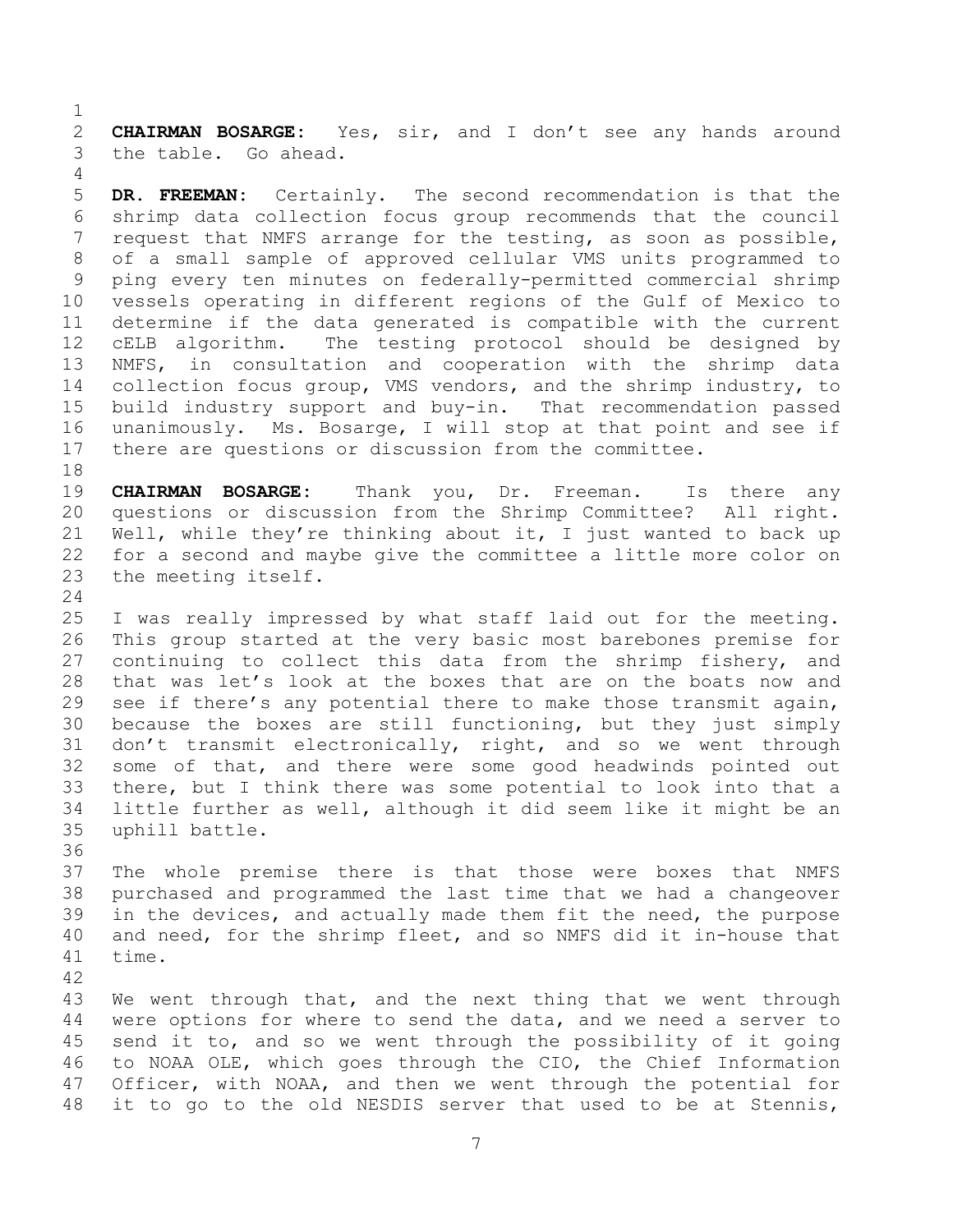**CHAIRMAN BOSARGE:** Yes, sir, and I don't see any hands around the table. Go ahead.

 **DR. FREEMAN:** Certainly. The second recommendation is that the shrimp data collection focus group recommends that the council request that NMFS arrange for the testing, as soon as possible, of a small sample of approved cellular VMS units programmed to ping every ten minutes on federally-permitted commercial shrimp vessels operating in different regions of the Gulf of Mexico to determine if the data generated is compatible with the current cELB algorithm. The testing protocol should be designed by NMFS, in consultation and cooperation with the shrimp data collection focus group, VMS vendors, and the shrimp industry, to build industry support and buy-in. That recommendation passed unanimously. Ms. Bosarge, I will stop at that point and see if there are questions or discussion from the committee.

 **CHAIRMAN BOSARGE:** Thank you, Dr. Freeman. Is there any questions or discussion from the Shrimp Committee? All right. Well, while they're thinking about it, I just wanted to back up for a second and maybe give the committee a little more color on the meeting itself.

 I was really impressed by what staff laid out for the meeting. This group started at the very basic most barebones premise for continuing to collect this data from the shrimp fishery, and that was let's look at the boxes that are on the boats now and see if there's any potential there to make those transmit again, because the boxes are still functioning, but they just simply don't transmit electronically, right, and so we went through some of that, and there were some good headwinds pointed out there, but I think there was some potential to look into that a little further as well, although it did seem like it might be an uphill battle.

 The whole premise there is that those were boxes that NMFS purchased and programmed the last time that we had a changeover in the devices, and actually made them fit the need, the purpose and need, for the shrimp fleet, and so NMFS did it in-house that time.

 We went through that, and the next thing that we went through were options for where to send the data, and we need a server to send it to, and so we went through the possibility of it going to NOAA OLE, which goes through the CIO, the Chief Information Officer, with NOAA, and then we went through the potential for it to go to the old NESDIS server that used to be at Stennis,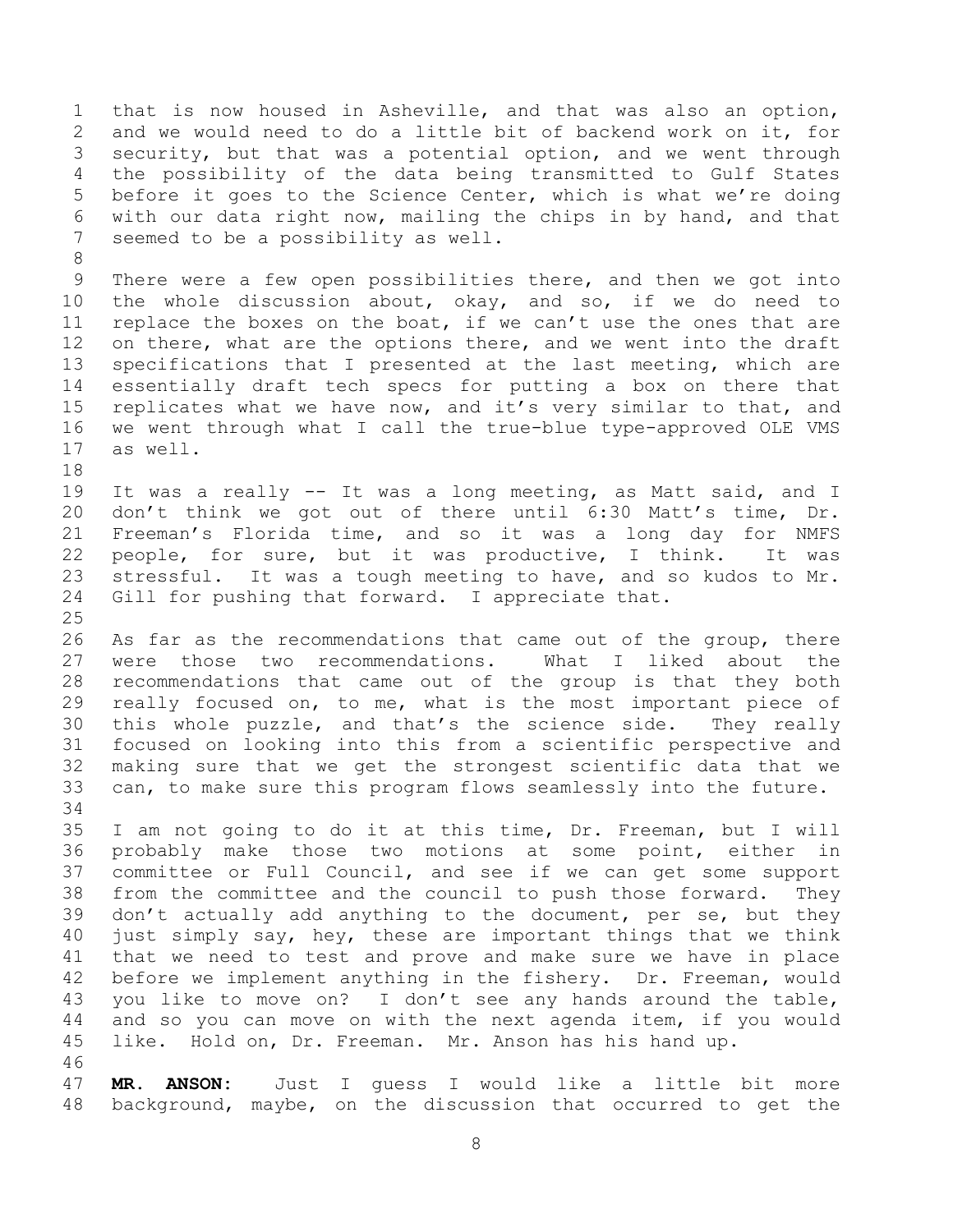that is now housed in Asheville, and that was also an option, and we would need to do a little bit of backend work on it, for security, but that was a potential option, and we went through the possibility of the data being transmitted to Gulf States before it goes to the Science Center, which is what we're doing with our data right now, mailing the chips in by hand, and that seemed to be a possibility as well.

 There were a few open possibilities there, and then we got into the whole discussion about, okay, and so, if we do need to replace the boxes on the boat, if we can't use the ones that are on there, what are the options there, and we went into the draft specifications that I presented at the last meeting, which are essentially draft tech specs for putting a box on there that replicates what we have now, and it's very similar to that, and we went through what I call the true-blue type-approved OLE VMS as well.

 It was a really -- It was a long meeting, as Matt said, and I don't think we got out of there until 6:30 Matt's time, Dr. Freeman's Florida time, and so it was a long day for NMFS people, for sure, but it was productive, I think. It was stressful. It was a tough meeting to have, and so kudos to Mr. Gill for pushing that forward. I appreciate that.

26 As far as the recommendations that came out of the group, there were those two recommendations. What I liked about the recommendations that came out of the group is that they both really focused on, to me, what is the most important piece of this whole puzzle, and that's the science side. They really focused on looking into this from a scientific perspective and making sure that we get the strongest scientific data that we can, to make sure this program flows seamlessly into the future. 

 I am not going to do it at this time, Dr. Freeman, but I will probably make those two motions at some point, either in committee or Full Council, and see if we can get some support from the committee and the council to push those forward. They don't actually add anything to the document, per se, but they just simply say, hey, these are important things that we think that we need to test and prove and make sure we have in place before we implement anything in the fishery. Dr. Freeman, would you like to move on? I don't see any hands around the table, and so you can move on with the next agenda item, if you would like. Hold on, Dr. Freeman. Mr. Anson has his hand up. 

 **MR. ANSON:** Just I guess I would like a little bit more background, maybe, on the discussion that occurred to get the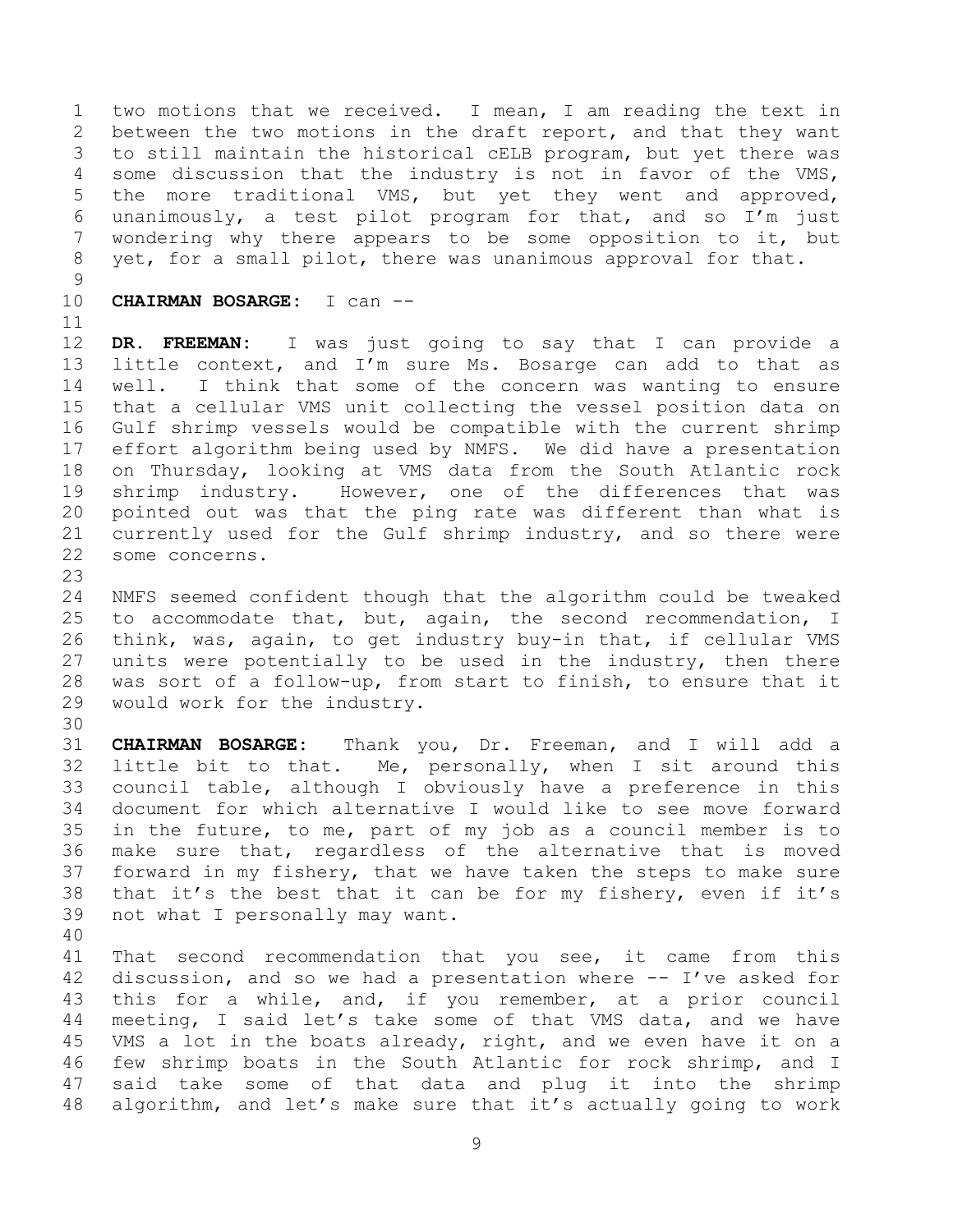two motions that we received. I mean, I am reading the text in between the two motions in the draft report, and that they want to still maintain the historical cELB program, but yet there was some discussion that the industry is not in favor of the VMS, the more traditional VMS, but yet they went and approved, unanimously, a test pilot program for that, and so I'm just wondering why there appears to be some opposition to it, but yet, for a small pilot, there was unanimous approval for that.

**CHAIRMAN BOSARGE:** I can --

 **DR. FREEMAN:** I was just going to say that I can provide a little context, and I'm sure Ms. Bosarge can add to that as well. I think that some of the concern was wanting to ensure that a cellular VMS unit collecting the vessel position data on Gulf shrimp vessels would be compatible with the current shrimp effort algorithm being used by NMFS. We did have a presentation on Thursday, looking at VMS data from the South Atlantic rock shrimp industry. However, one of the differences that was pointed out was that the ping rate was different than what is currently used for the Gulf shrimp industry, and so there were some concerns.

 NMFS seemed confident though that the algorithm could be tweaked to accommodate that, but, again, the second recommendation, I think, was, again, to get industry buy-in that, if cellular VMS units were potentially to be used in the industry, then there was sort of a follow-up, from start to finish, to ensure that it would work for the industry.

 **CHAIRMAN BOSARGE:** Thank you, Dr. Freeman, and I will add a little bit to that. Me, personally, when I sit around this council table, although I obviously have a preference in this document for which alternative I would like to see move forward in the future, to me, part of my job as a council member is to make sure that, regardless of the alternative that is moved forward in my fishery, that we have taken the steps to make sure that it's the best that it can be for my fishery, even if it's not what I personally may want.

 That second recommendation that you see, it came from this discussion, and so we had a presentation where -- I've asked for this for a while, and, if you remember, at a prior council meeting, I said let's take some of that VMS data, and we have VMS a lot in the boats already, right, and we even have it on a few shrimp boats in the South Atlantic for rock shrimp, and I said take some of that data and plug it into the shrimp algorithm, and let's make sure that it's actually going to work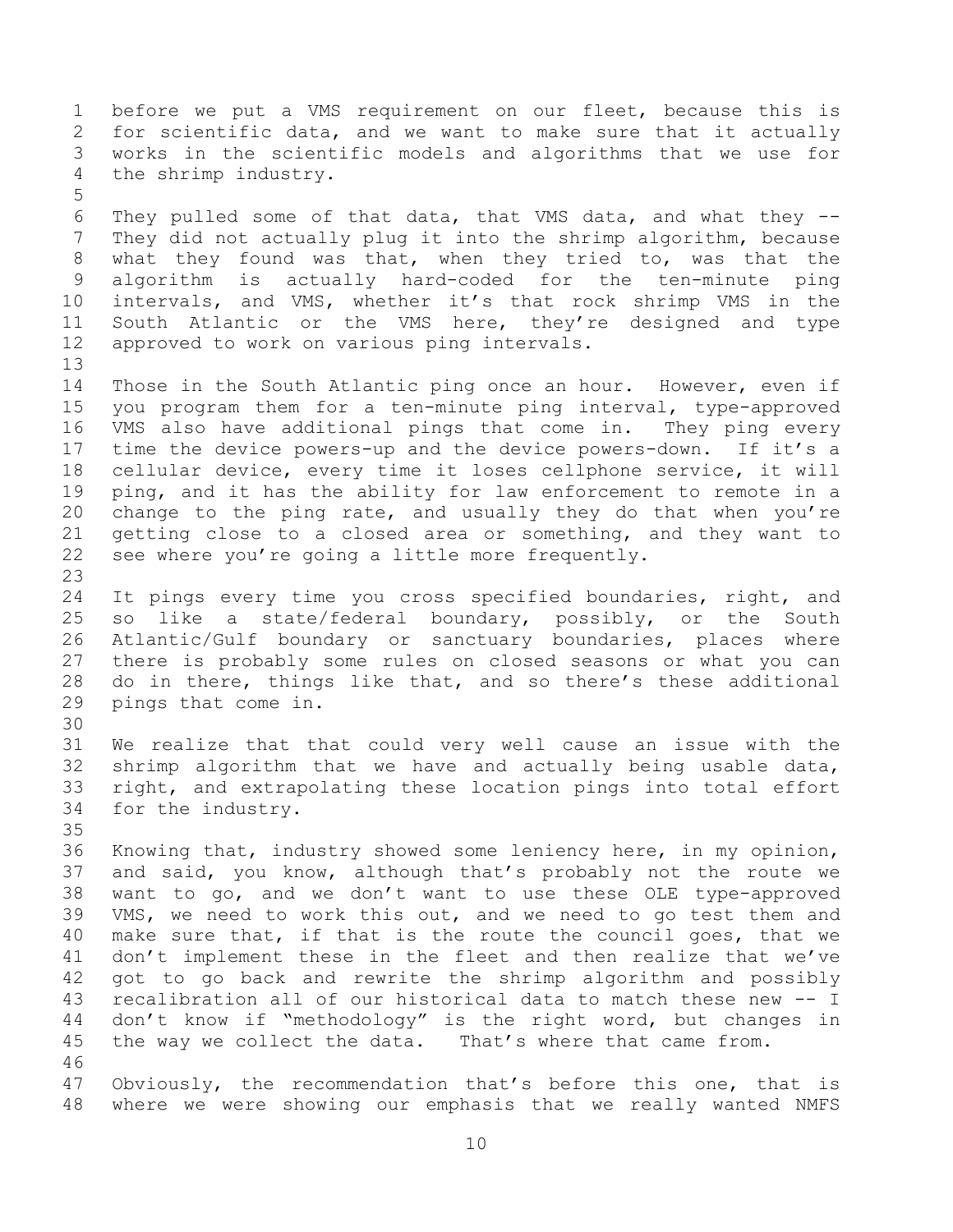before we put a VMS requirement on our fleet, because this is for scientific data, and we want to make sure that it actually works in the scientific models and algorithms that we use for the shrimp industry. They pulled some of that data, that VMS data, and what they -- They did not actually plug it into the shrimp algorithm, because what they found was that, when they tried to, was that the algorithm is actually hard-coded for the ten-minute ping intervals, and VMS, whether it's that rock shrimp VMS in the South Atlantic or the VMS here, they're designed and type approved to work on various ping intervals. Those in the South Atlantic ping once an hour. However, even if you program them for a ten-minute ping interval, type-approved VMS also have additional pings that come in. They ping every time the device powers-up and the device powers-down. If it's a cellular device, every time it loses cellphone service, it will ping, and it has the ability for law enforcement to remote in a change to the ping rate, and usually they do that when you're getting close to a closed area or something, and they want to see where you're going a little more frequently. It pings every time you cross specified boundaries, right, and so like a state/federal boundary, possibly, or the South Atlantic/Gulf boundary or sanctuary boundaries, places where there is probably some rules on closed seasons or what you can do in there, things like that, and so there's these additional pings that come in. We realize that that could very well cause an issue with the shrimp algorithm that we have and actually being usable data, right, and extrapolating these location pings into total effort for the industry. Knowing that, industry showed some leniency here, in my opinion, and said, you know, although that's probably not the route we want to go, and we don't want to use these OLE type-approved VMS, we need to work this out, and we need to go test them and make sure that, if that is the route the council goes, that we don't implement these in the fleet and then realize that we've got to go back and rewrite the shrimp algorithm and possibly recalibration all of our historical data to match these new -- I don't know if "methodology" is the right word, but changes in the way we collect the data. That's where that came from. Obviously, the recommendation that's before this one, that is where we were showing our emphasis that we really wanted NMFS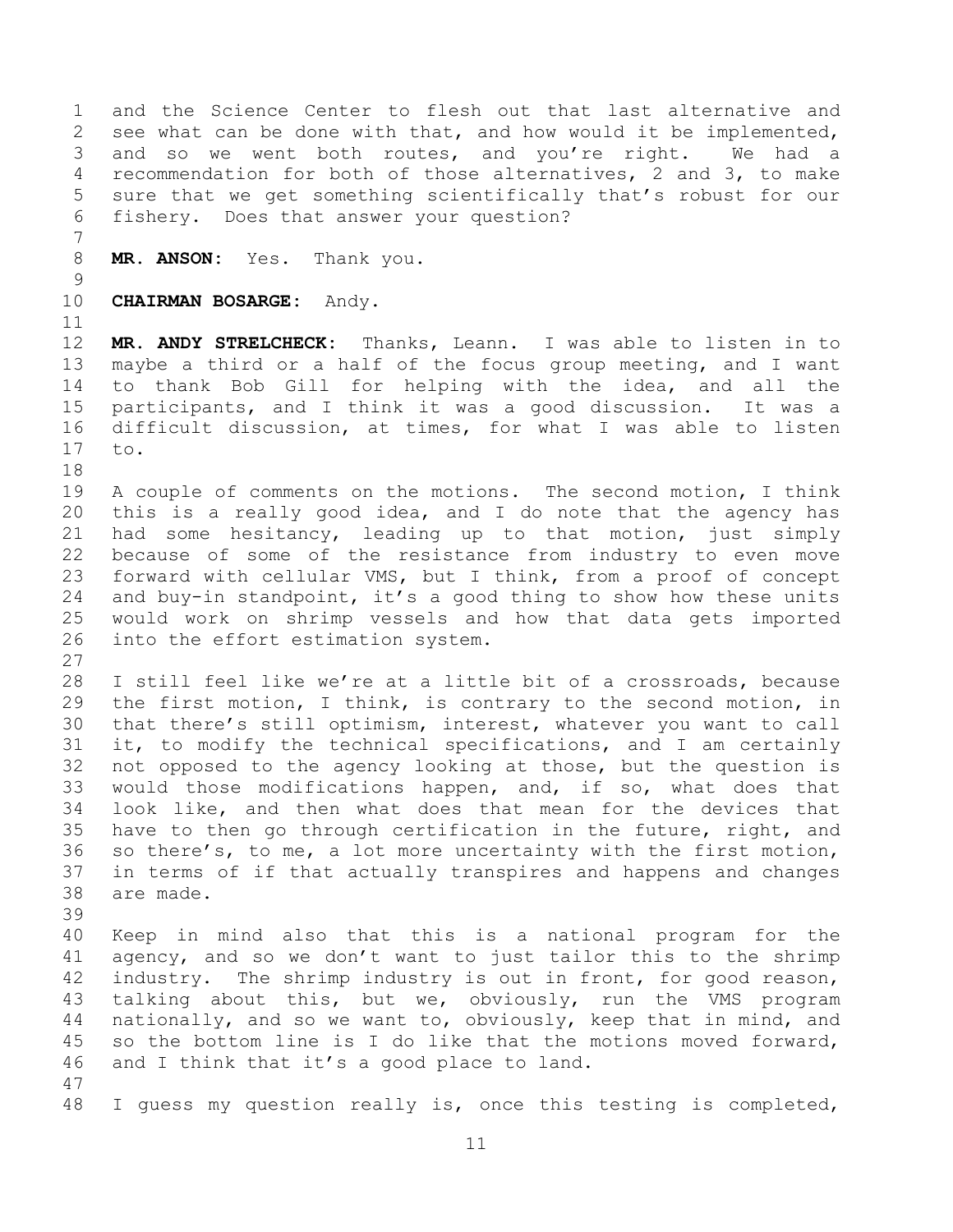and the Science Center to flesh out that last alternative and see what can be done with that, and how would it be implemented, and so we went both routes, and you're right. We had a recommendation for both of those alternatives, 2 and 3, to make sure that we get something scientifically that's robust for our fishery. Does that answer your question?

**MR. ANSON:** Yes. Thank you.

**CHAIRMAN BOSARGE:** Andy.

 **MR. ANDY STRELCHECK:** Thanks, Leann. I was able to listen in to maybe a third or a half of the focus group meeting, and I want to thank Bob Gill for helping with the idea, and all the participants, and I think it was a good discussion. It was a difficult discussion, at times, for what I was able to listen to.

 A couple of comments on the motions. The second motion, I think this is a really good idea, and I do note that the agency has had some hesitancy, leading up to that motion, just simply because of some of the resistance from industry to even move forward with cellular VMS, but I think, from a proof of concept and buy-in standpoint, it's a good thing to show how these units would work on shrimp vessels and how that data gets imported into the effort estimation system.

 I still feel like we're at a little bit of a crossroads, because the first motion, I think, is contrary to the second motion, in that there's still optimism, interest, whatever you want to call it, to modify the technical specifications, and I am certainly not opposed to the agency looking at those, but the question is would those modifications happen, and, if so, what does that look like, and then what does that mean for the devices that have to then go through certification in the future, right, and so there's, to me, a lot more uncertainty with the first motion, in terms of if that actually transpires and happens and changes are made.

 Keep in mind also that this is a national program for the agency, and so we don't want to just tailor this to the shrimp 42 industry. The shrimp industry is out in front, for good reason, talking about this, but we, obviously, run the VMS program nationally, and so we want to, obviously, keep that in mind, and so the bottom line is I do like that the motions moved forward, and I think that it's a good place to land.

I guess my question really is, once this testing is completed,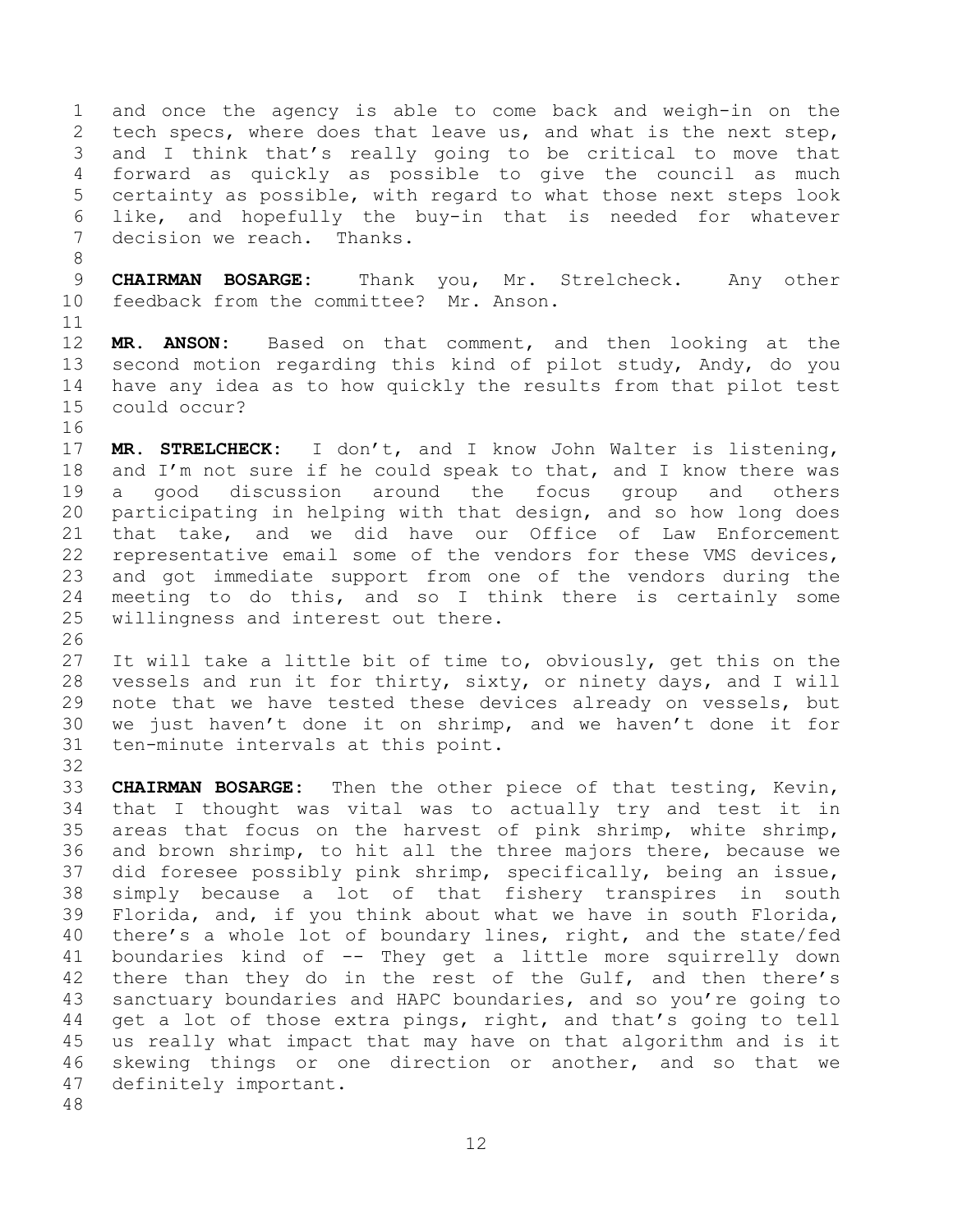and once the agency is able to come back and weigh-in on the tech specs, where does that leave us, and what is the next step, and I think that's really going to be critical to move that forward as quickly as possible to give the council as much certainty as possible, with regard to what those next steps look like, and hopefully the buy-in that is needed for whatever decision we reach. Thanks.

 **CHAIRMAN BOSARGE:** Thank you, Mr. Strelcheck. Any other feedback from the committee? Mr. Anson.

 **MR. ANSON:** Based on that comment, and then looking at the second motion regarding this kind of pilot study, Andy, do you have any idea as to how quickly the results from that pilot test could occur?

 **MR. STRELCHECK:** I don't, and I know John Walter is listening, 18 and I'm not sure if he could speak to that, and I know there was a good discussion around the focus group and others participating in helping with that design, and so how long does that take, and we did have our Office of Law Enforcement representative email some of the vendors for these VMS devices, and got immediate support from one of the vendors during the meeting to do this, and so I think there is certainly some willingness and interest out there.

 It will take a little bit of time to, obviously, get this on the vessels and run it for thirty, sixty, or ninety days, and I will note that we have tested these devices already on vessels, but we just haven't done it on shrimp, and we haven't done it for ten-minute intervals at this point.

 **CHAIRMAN BOSARGE:** Then the other piece of that testing, Kevin, that I thought was vital was to actually try and test it in areas that focus on the harvest of pink shrimp, white shrimp, and brown shrimp, to hit all the three majors there, because we did foresee possibly pink shrimp, specifically, being an issue, simply because a lot of that fishery transpires in south Florida, and, if you think about what we have in south Florida, there's a whole lot of boundary lines, right, and the state/fed boundaries kind of -- They get a little more squirrelly down 42 there than they do in the rest of the Gulf, and then there's sanctuary boundaries and HAPC boundaries, and so you're going to get a lot of those extra pings, right, and that's going to tell us really what impact that may have on that algorithm and is it skewing things or one direction or another, and so that we definitely important.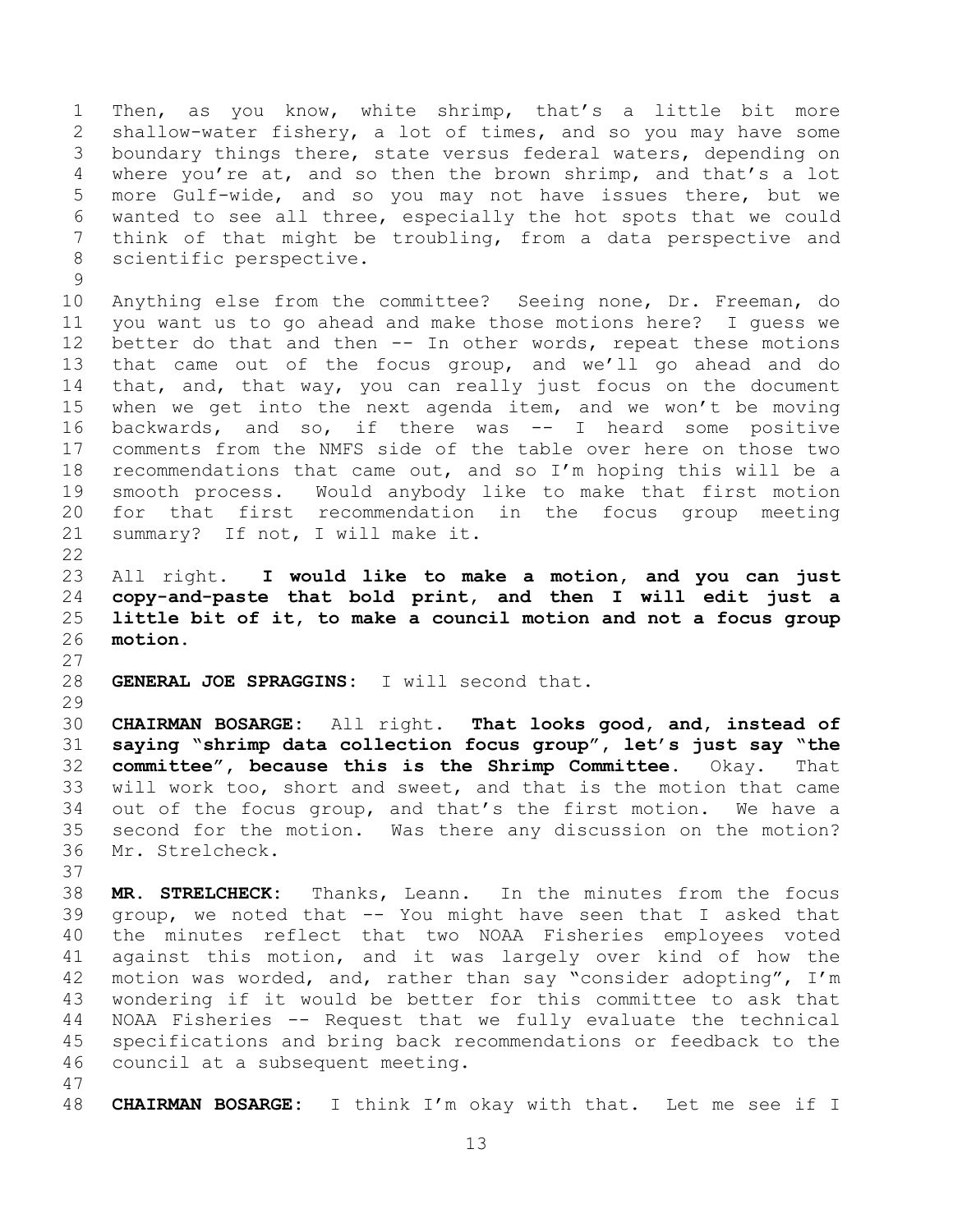Then, as you know, white shrimp, that's a little bit more shallow-water fishery, a lot of times, and so you may have some boundary things there, state versus federal waters, depending on where you're at, and so then the brown shrimp, and that's a lot more Gulf-wide, and so you may not have issues there, but we wanted to see all three, especially the hot spots that we could think of that might be troubling, from a data perspective and scientific perspective.

 Anything else from the committee? Seeing none, Dr. Freeman, do you want us to go ahead and make those motions here? I guess we better do that and then -- In other words, repeat these motions that came out of the focus group, and we'll go ahead and do that, and, that way, you can really just focus on the document when we get into the next agenda item, and we won't be moving backwards, and so, if there was -- I heard some positive comments from the NMFS side of the table over here on those two recommendations that came out, and so I'm hoping this will be a smooth process. Would anybody like to make that first motion for that first recommendation in the focus group meeting summary? If not, I will make it.

<span id="page-12-0"></span> All right. **I would like to make a motion, and you can just copy-and-paste that bold print, and then I will edit just a little bit of it, to make a council motion and not a focus group motion.**

**GENERAL JOE SPRAGGINS:** I will second that.

 **CHAIRMAN BOSARGE:** All right. **That looks good, and, instead of saying "shrimp data collection focus group", let's just say "the committee", because this is the Shrimp Committee.** Okay. That will work too, short and sweet, and that is the motion that came out of the focus group, and that's the first motion. We have a second for the motion. Was there any discussion on the motion? Mr. Strelcheck.

 **MR. STRELCHECK:** Thanks, Leann. In the minutes from the focus group, we noted that -- You might have seen that I asked that the minutes reflect that two NOAA Fisheries employees voted against this motion, and it was largely over kind of how the motion was worded, and, rather than say "consider adopting", I'm wondering if it would be better for this committee to ask that NOAA Fisheries -- Request that we fully evaluate the technical specifications and bring back recommendations or feedback to the council at a subsequent meeting.

**CHAIRMAN BOSARGE:** I think I'm okay with that. Let me see if I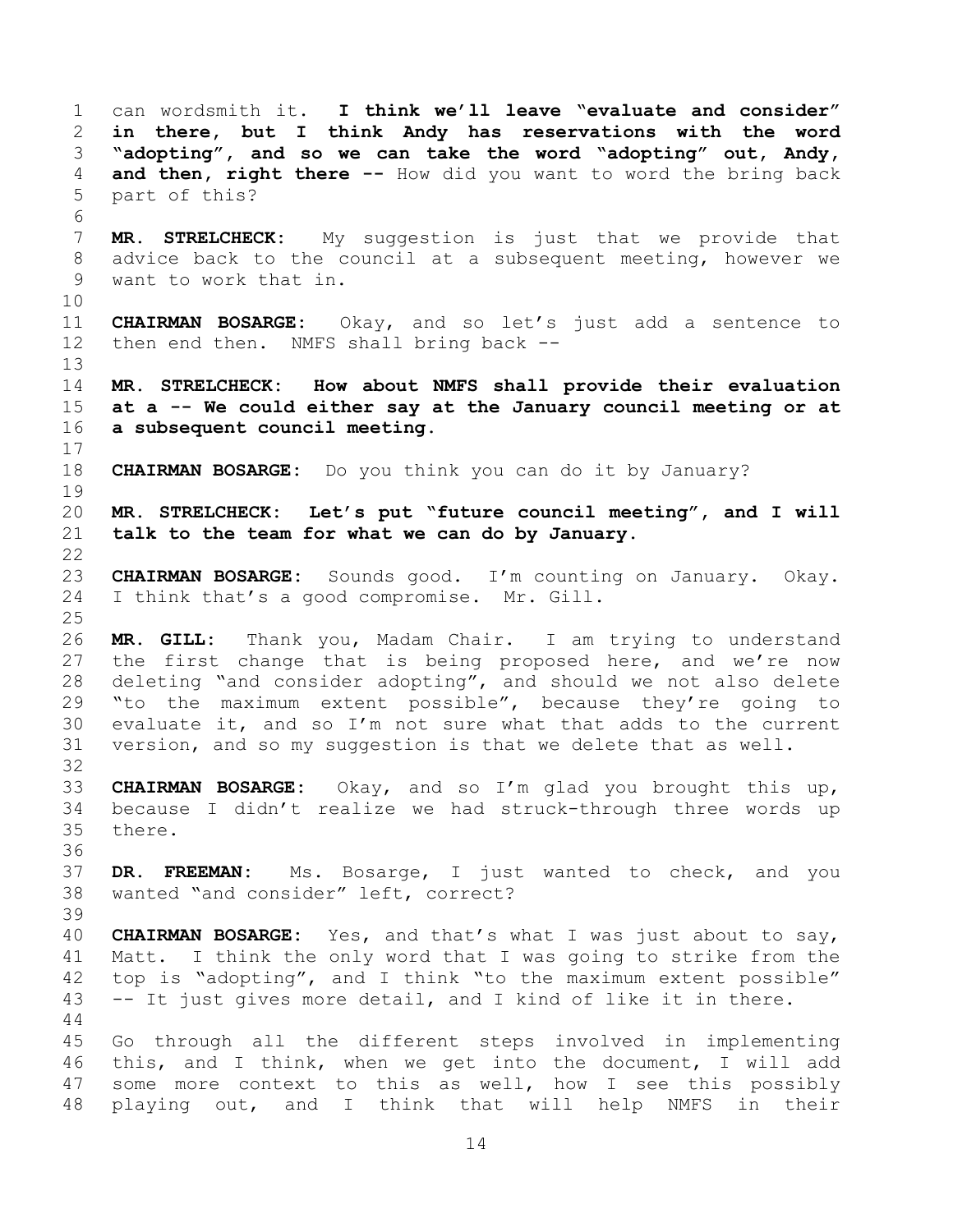can wordsmith it. **I think we'll leave "evaluate and consider" in there, but I think Andy has reservations with the word "adopting", and so we can take the word "adopting" out, Andy, and then, right there --** How did you want to word the bring back part of this? **MR. STRELCHECK:** My suggestion is just that we provide that advice back to the council at a subsequent meeting, however we want to work that in. **CHAIRMAN BOSARGE:** Okay, and so let's just add a sentence to then end then. NMFS shall bring back -- **MR. STRELCHECK: How about NMFS shall provide their evaluation at a -- We could either say at the January council meeting or at a subsequent council meeting. CHAIRMAN BOSARGE:** Do you think you can do it by January? **MR. STRELCHECK: Let's put "future council meeting", and I will talk to the team for what we can do by January. CHAIRMAN BOSARGE:** Sounds good. I'm counting on January. Okay. I think that's a good compromise. Mr. Gill. **MR. GILL:** Thank you, Madam Chair. I am trying to understand the first change that is being proposed here, and we're now deleting "and consider adopting", and should we not also delete "to the maximum extent possible", because they're going to evaluate it, and so I'm not sure what that adds to the current version, and so my suggestion is that we delete that as well. **CHAIRMAN BOSARGE:** Okay, and so I'm glad you brought this up, because I didn't realize we had struck-through three words up there. **DR. FREEMAN:** Ms. Bosarge, I just wanted to check, and you wanted "and consider" left, correct? **CHAIRMAN BOSARGE:** Yes, and that's what I was just about to say, Matt. I think the only word that I was going to strike from the top is "adopting", and I think "to the maximum extent possible" -- It just gives more detail, and I kind of like it in there. Go through all the different steps involved in implementing this, and I think, when we get into the document, I will add some more context to this as well, how I see this possibly playing out, and I think that will help NMFS in their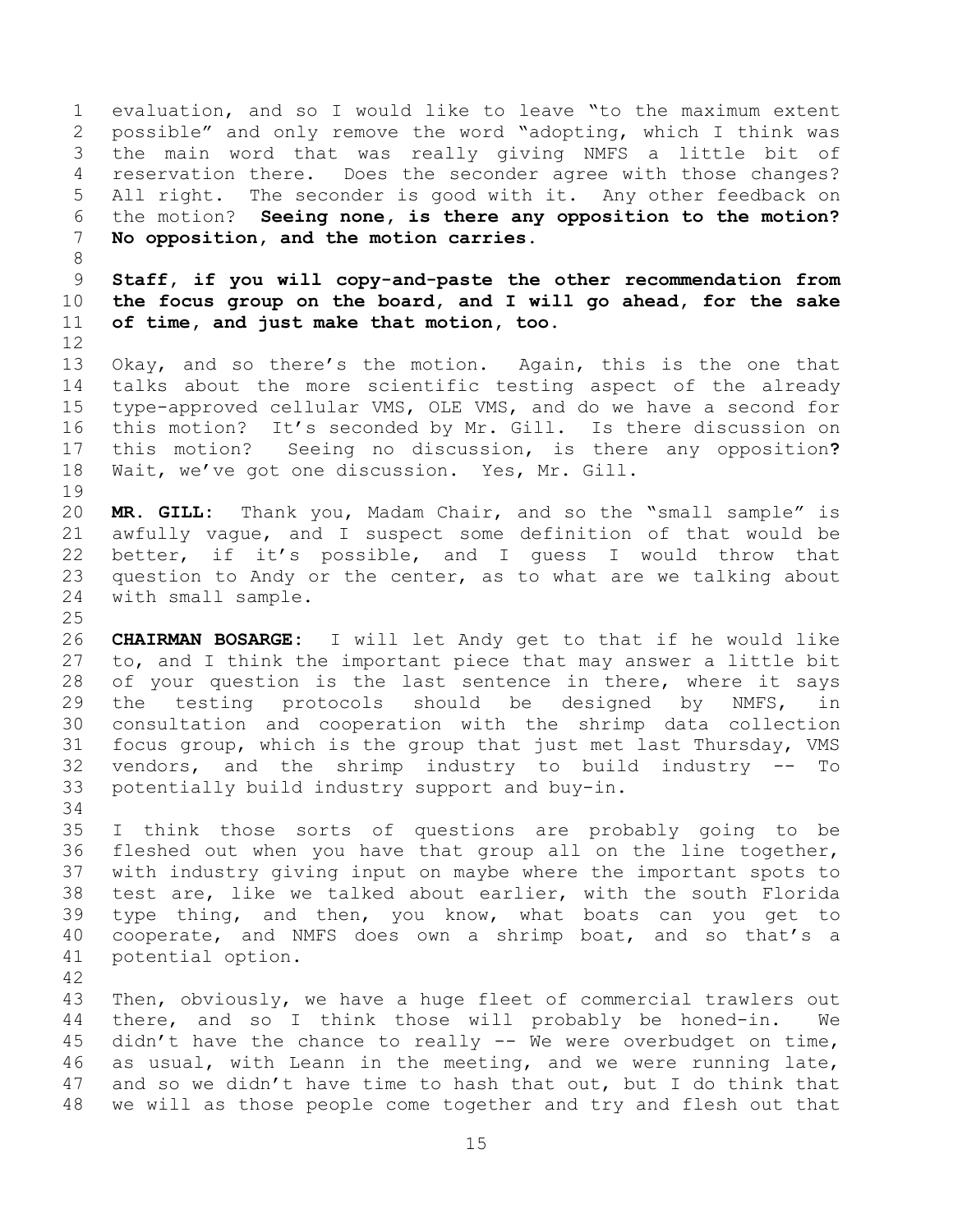evaluation, and so I would like to leave "to the maximum extent possible" and only remove the word "adopting, which I think was the main word that was really giving NMFS a little bit of reservation there. Does the seconder agree with those changes? All right. The seconder is good with it. Any other feedback on the motion? **Seeing none, is there any opposition to the motion? No opposition, and the motion carries.**

 **Staff, if you will copy-and-paste the other recommendation from the focus group on the board, and I will go ahead, for the sake of time, and just make that motion, too.** 

 Okay, and so there's the motion. Again, this is the one that talks about the more scientific testing aspect of the already type-approved cellular VMS, OLE VMS, and do we have a second for this motion? It's seconded by Mr. Gill. Is there discussion on this motion? Seeing no discussion, is there any opposition**?** Wait, we've got one discussion. Yes, Mr. Gill.

<span id="page-14-1"></span><span id="page-14-0"></span>

 **MR. GILL:** Thank you, Madam Chair, and so the "small sample" is awfully vague, and I suspect some definition of that would be better, if it's possible, and I guess I would throw that question to Andy or the center, as to what are we talking about with small sample.

 **CHAIRMAN BOSARGE:** I will let Andy get to that if he would like to, and I think the important piece that may answer a little bit of your question is the last sentence in there, where it says the testing protocols should be designed by NMFS, in consultation and cooperation with the shrimp data collection focus group, which is the group that just met last Thursday, VMS vendors, and the shrimp industry to build industry -- To potentially build industry support and buy-in.

 I think those sorts of questions are probably going to be fleshed out when you have that group all on the line together, with industry giving input on maybe where the important spots to test are, like we talked about earlier, with the south Florida type thing, and then, you know, what boats can you get to cooperate, and NMFS does own a shrimp boat, and so that's a potential option.

 Then, obviously, we have a huge fleet of commercial trawlers out there, and so I think those will probably be honed-in. We didn't have the chance to really -- We were overbudget on time, as usual, with Leann in the meeting, and we were running late, and so we didn't have time to hash that out, but I do think that we will as those people come together and try and flesh out that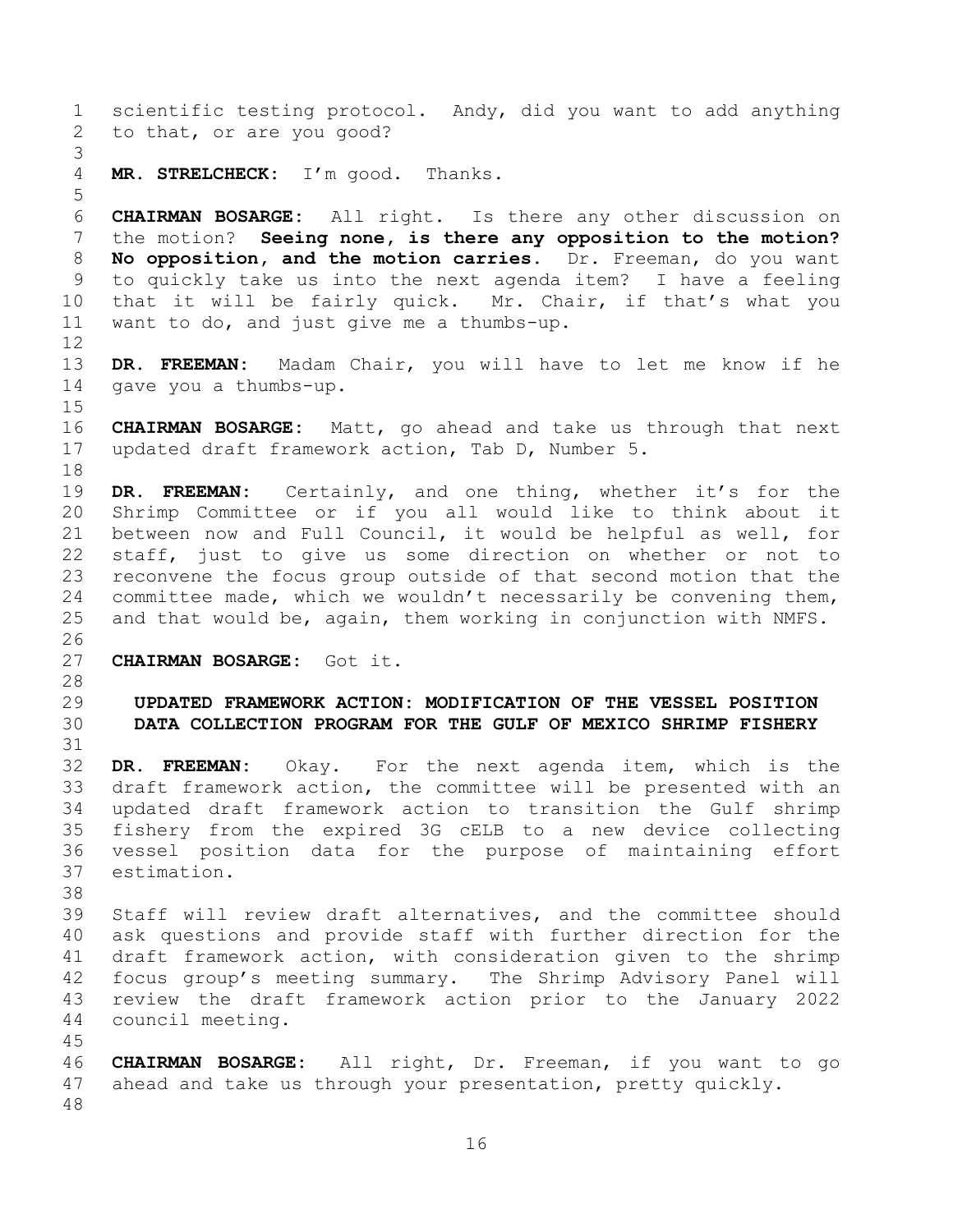<span id="page-15-1"></span><span id="page-15-0"></span> scientific testing protocol. Andy, did you want to add anything to that, or are you good? **MR. STRELCHECK:** I'm good. Thanks. **CHAIRMAN BOSARGE:** All right. Is there any other discussion on the motion? **Seeing none, is there any opposition to the motion? No opposition, and the motion carries.** Dr. Freeman, do you want to quickly take us into the next agenda item? I have a feeling that it will be fairly quick. Mr. Chair, if that's what you want to do, and just give me a thumbs-up. **DR. FREEMAN:** Madam Chair, you will have to let me know if he gave you a thumbs-up. **CHAIRMAN BOSARGE:** Matt, go ahead and take us through that next updated draft framework action, Tab D, Number 5. **DR. FREEMAN:** Certainly, and one thing, whether it's for the Shrimp Committee or if you all would like to think about it between now and Full Council, it would be helpful as well, for staff, just to give us some direction on whether or not to reconvene the focus group outside of that second motion that the committee made, which we wouldn't necessarily be convening them, and that would be, again, them working in conjunction with NMFS. **CHAIRMAN BOSARGE:** Got it. **UPDATED FRAMEWORK ACTION: MODIFICATION OF THE VESSEL POSITION DATA COLLECTION PROGRAM FOR THE GULF OF MEXICO SHRIMP FISHERY DR. FREEMAN:** Okay. For the next agenda item, which is the draft framework action, the committee will be presented with an updated draft framework action to transition the Gulf shrimp fishery from the expired 3G cELB to a new device collecting vessel position data for the purpose of maintaining effort estimation. Staff will review draft alternatives, and the committee should ask questions and provide staff with further direction for the draft framework action, with consideration given to the shrimp focus group's meeting summary. The Shrimp Advisory Panel will review the draft framework action prior to the January 2022 council meeting. **CHAIRMAN BOSARGE:** All right, Dr. Freeman, if you want to go ahead and take us through your presentation, pretty quickly.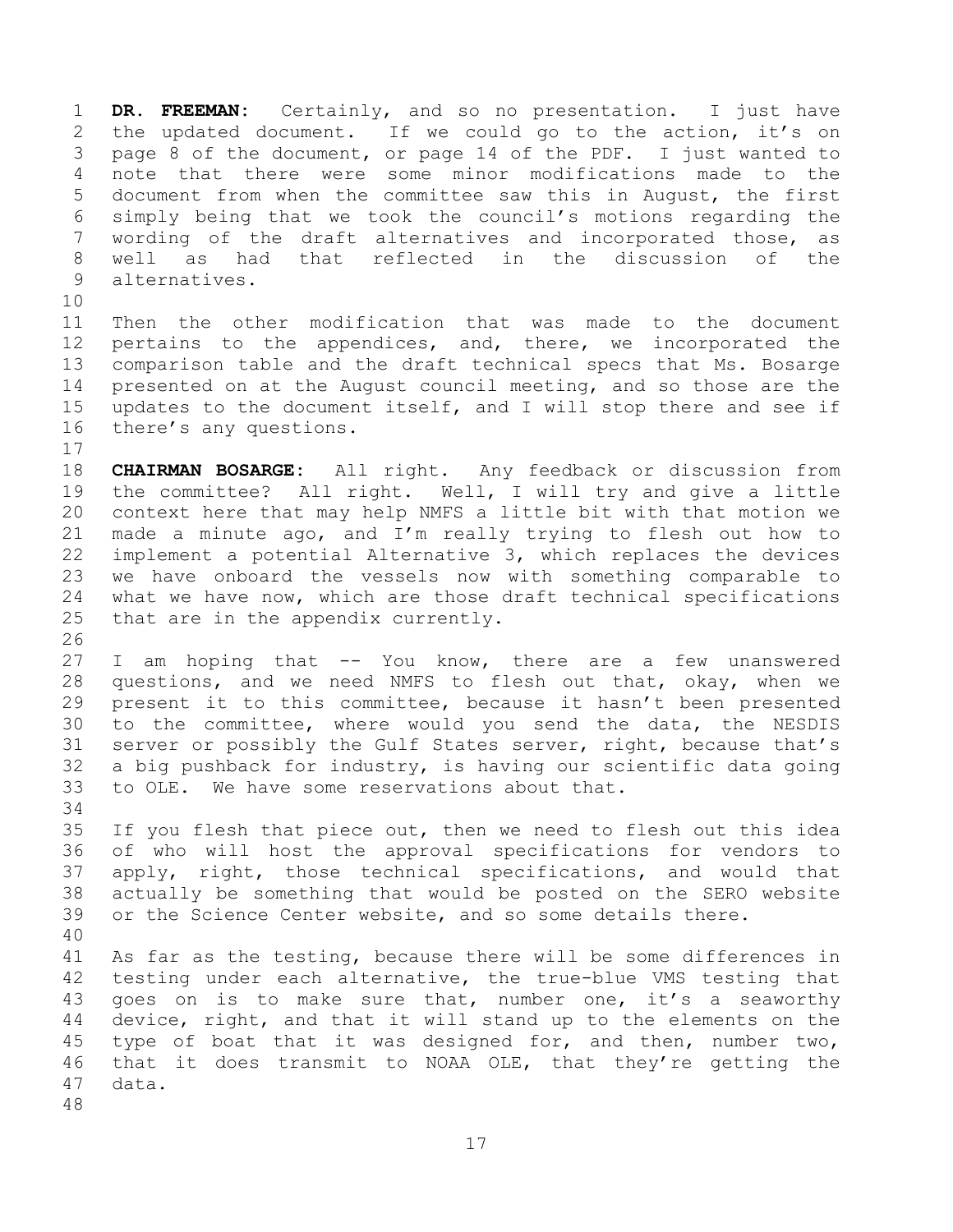**DR. FREEMAN:** Certainly, and so no presentation. I just have the updated document. If we could go to the action, it's on page 8 of the document, or page 14 of the PDF. I just wanted to note that there were some minor modifications made to the document from when the committee saw this in August, the first simply being that we took the council's motions regarding the wording of the draft alternatives and incorporated those, as well as had that reflected in the discussion of the alternatives. 

 Then the other modification that was made to the document pertains to the appendices, and, there, we incorporated the comparison table and the draft technical specs that Ms. Bosarge presented on at the August council meeting, and so those are the updates to the document itself, and I will stop there and see if there's any questions.

 **CHAIRMAN BOSARGE:** All right. Any feedback or discussion from the committee? All right. Well, I will try and give a little context here that may help NMFS a little bit with that motion we made a minute ago, and I'm really trying to flesh out how to implement a potential Alternative 3, which replaces the devices we have onboard the vessels now with something comparable to what we have now, which are those draft technical specifications that are in the appendix currently.

 I am hoping that -- You know, there are a few unanswered questions, and we need NMFS to flesh out that, okay, when we present it to this committee, because it hasn't been presented to the committee, where would you send the data, the NESDIS server or possibly the Gulf States server, right, because that's a big pushback for industry, is having our scientific data going to OLE. We have some reservations about that. 

 If you flesh that piece out, then we need to flesh out this idea of who will host the approval specifications for vendors to apply, right, those technical specifications, and would that actually be something that would be posted on the SERO website or the Science Center website, and so some details there.

 As far as the testing, because there will be some differences in testing under each alternative, the true-blue VMS testing that goes on is to make sure that, number one, it's a seaworthy device, right, and that it will stand up to the elements on the type of boat that it was designed for, and then, number two, that it does transmit to NOAA OLE, that they're getting the data.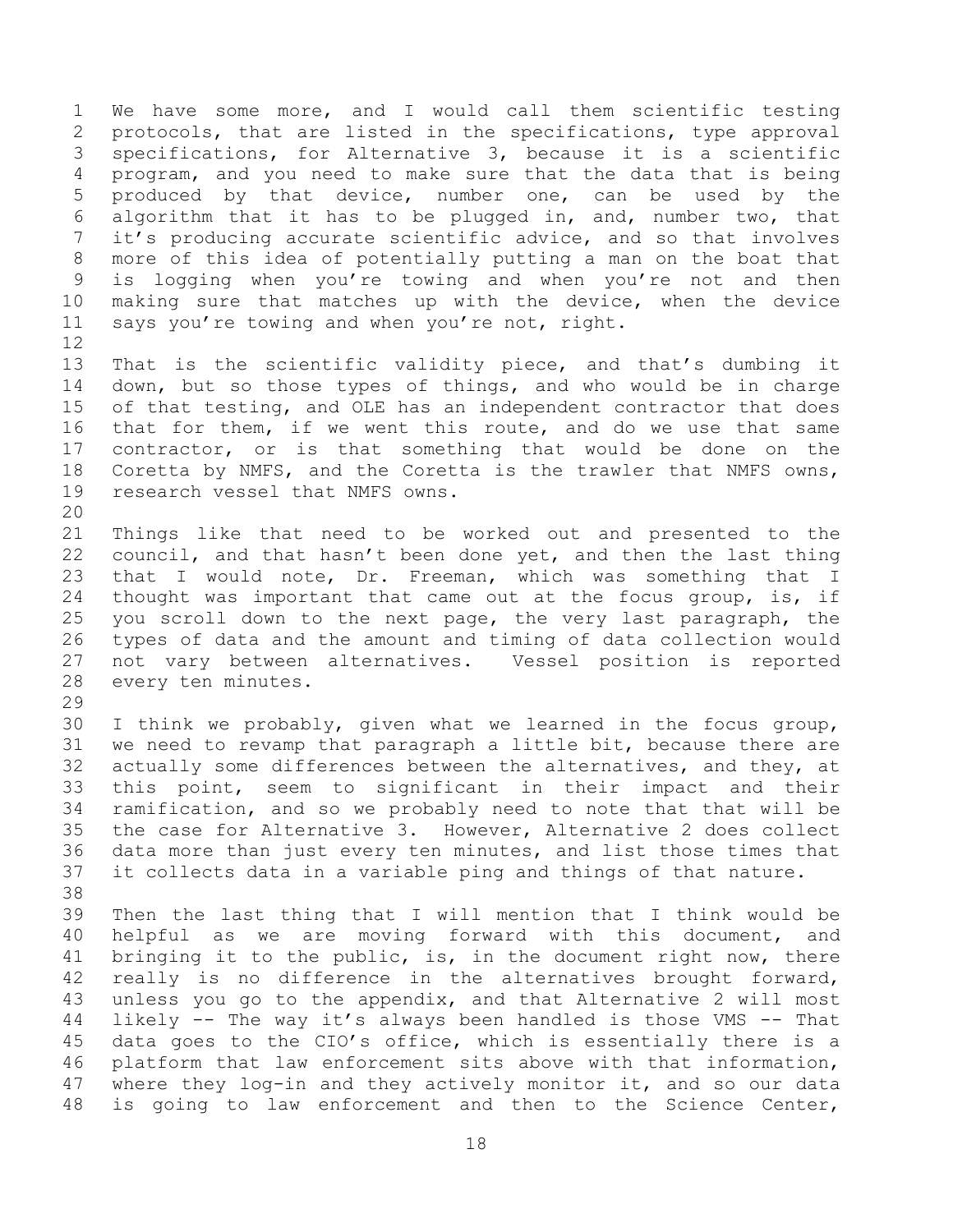We have some more, and I would call them scientific testing protocols, that are listed in the specifications, type approval specifications, for Alternative 3, because it is a scientific program, and you need to make sure that the data that is being produced by that device, number one, can be used by the algorithm that it has to be plugged in, and, number two, that it's producing accurate scientific advice, and so that involves more of this idea of potentially putting a man on the boat that is logging when you're towing and when you're not and then making sure that matches up with the device, when the device 11 says you're towing and when you're not, right. 

 That is the scientific validity piece, and that's dumbing it down, but so those types of things, and who would be in charge of that testing, and OLE has an independent contractor that does that for them, if we went this route, and do we use that same contractor, or is that something that would be done on the Coretta by NMFS, and the Coretta is the trawler that NMFS owns, research vessel that NMFS owns.

 Things like that need to be worked out and presented to the council, and that hasn't been done yet, and then the last thing that I would note, Dr. Freeman, which was something that I thought was important that came out at the focus group, is, if you scroll down to the next page, the very last paragraph, the types of data and the amount and timing of data collection would not vary between alternatives. Vessel position is reported every ten minutes.

 I think we probably, given what we learned in the focus group, we need to revamp that paragraph a little bit, because there are actually some differences between the alternatives, and they, at this point, seem to significant in their impact and their ramification, and so we probably need to note that that will be the case for Alternative 3. However, Alternative 2 does collect data more than just every ten minutes, and list those times that it collects data in a variable ping and things of that nature. 

 Then the last thing that I will mention that I think would be helpful as we are moving forward with this document, and bringing it to the public, is, in the document right now, there 42 really is no difference in the alternatives brought forward, unless you go to the appendix, and that Alternative 2 will most likely -- The way it's always been handled is those VMS -- That data goes to the CIO's office, which is essentially there is a platform that law enforcement sits above with that information, 47 where they log-in and they actively monitor it, and so our data is going to law enforcement and then to the Science Center,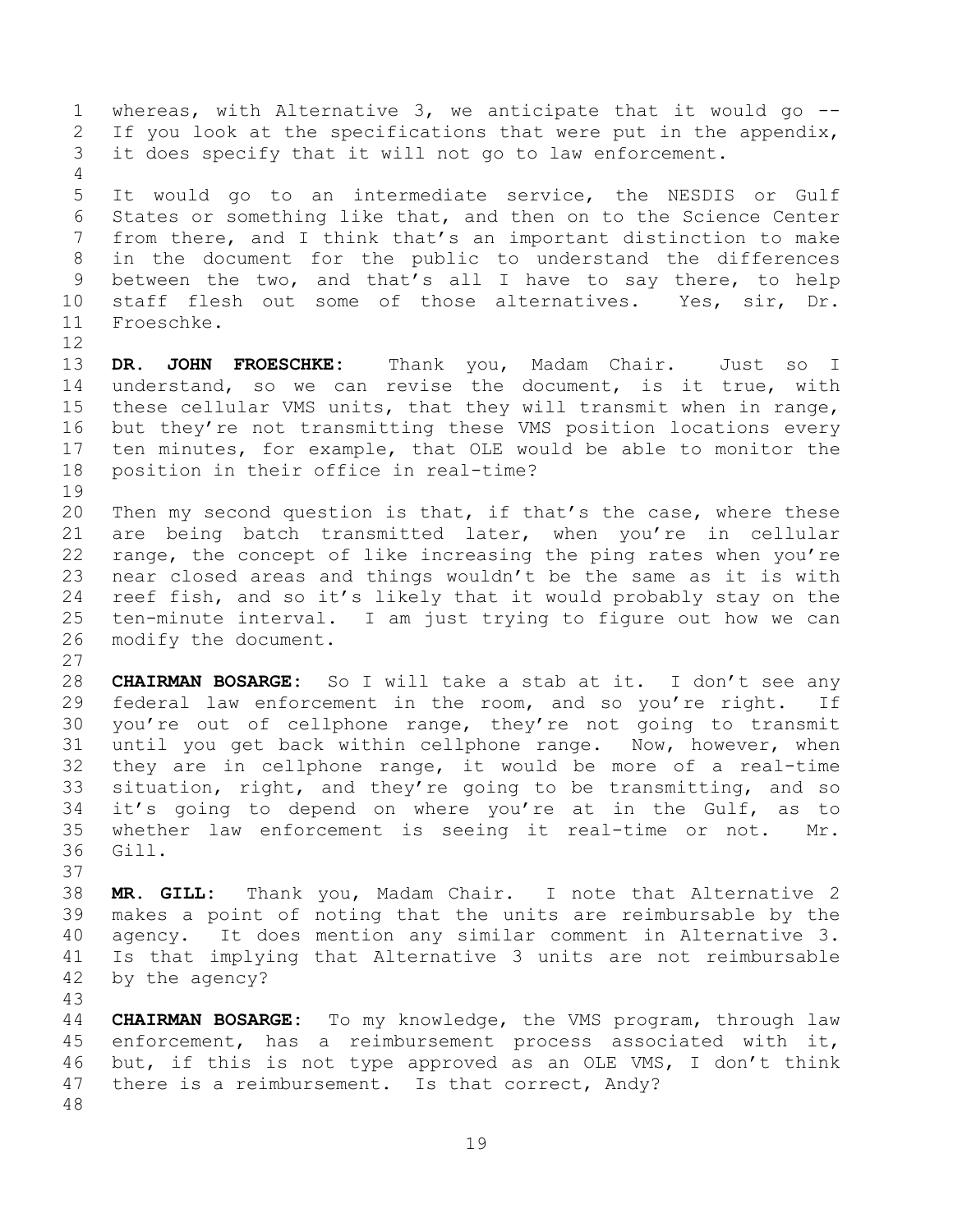whereas, with Alternative 3, we anticipate that it would go -- 2 If you look at the specifications that were put in the appendix, it does specify that it will not go to law enforcement. It would go to an intermediate service, the NESDIS or Gulf States or something like that, and then on to the Science Center from there, and I think that's an important distinction to make in the document for the public to understand the differences between the two, and that's all I have to say there, to help staff flesh out some of those alternatives. Yes, sir, Dr. Froeschke. **DR. JOHN FROESCHKE:** Thank you, Madam Chair. Just so I understand, so we can revise the document, is it true, with these cellular VMS units, that they will transmit when in range, but they're not transmitting these VMS position locations every ten minutes, for example, that OLE would be able to monitor the position in their office in real-time? 20 Then my second question is that, if that's the case, where these are being batch transmitted later, when you're in cellular range, the concept of like increasing the ping rates when you're near closed areas and things wouldn't be the same as it is with reef fish, and so it's likely that it would probably stay on the ten-minute interval. I am just trying to figure out how we can modify the document. **CHAIRMAN BOSARGE:** So I will take a stab at it. I don't see any federal law enforcement in the room, and so you're right. If you're out of cellphone range, they're not going to transmit until you get back within cellphone range. Now, however, when they are in cellphone range, it would be more of a real-time situation, right, and they're going to be transmitting, and so it's going to depend on where you're at in the Gulf, as to

- whether law enforcement is seeing it real-time or not. Mr. Gill.
- 

 **MR. GILL:** Thank you, Madam Chair. I note that Alternative 2 makes a point of noting that the units are reimbursable by the agency. It does mention any similar comment in Alternative 3. Is that implying that Alternative 3 units are not reimbursable by the agency?

 **CHAIRMAN BOSARGE:** To my knowledge, the VMS program, through law enforcement, has a reimbursement process associated with it, but, if this is not type approved as an OLE VMS, I don't think there is a reimbursement. Is that correct, Andy?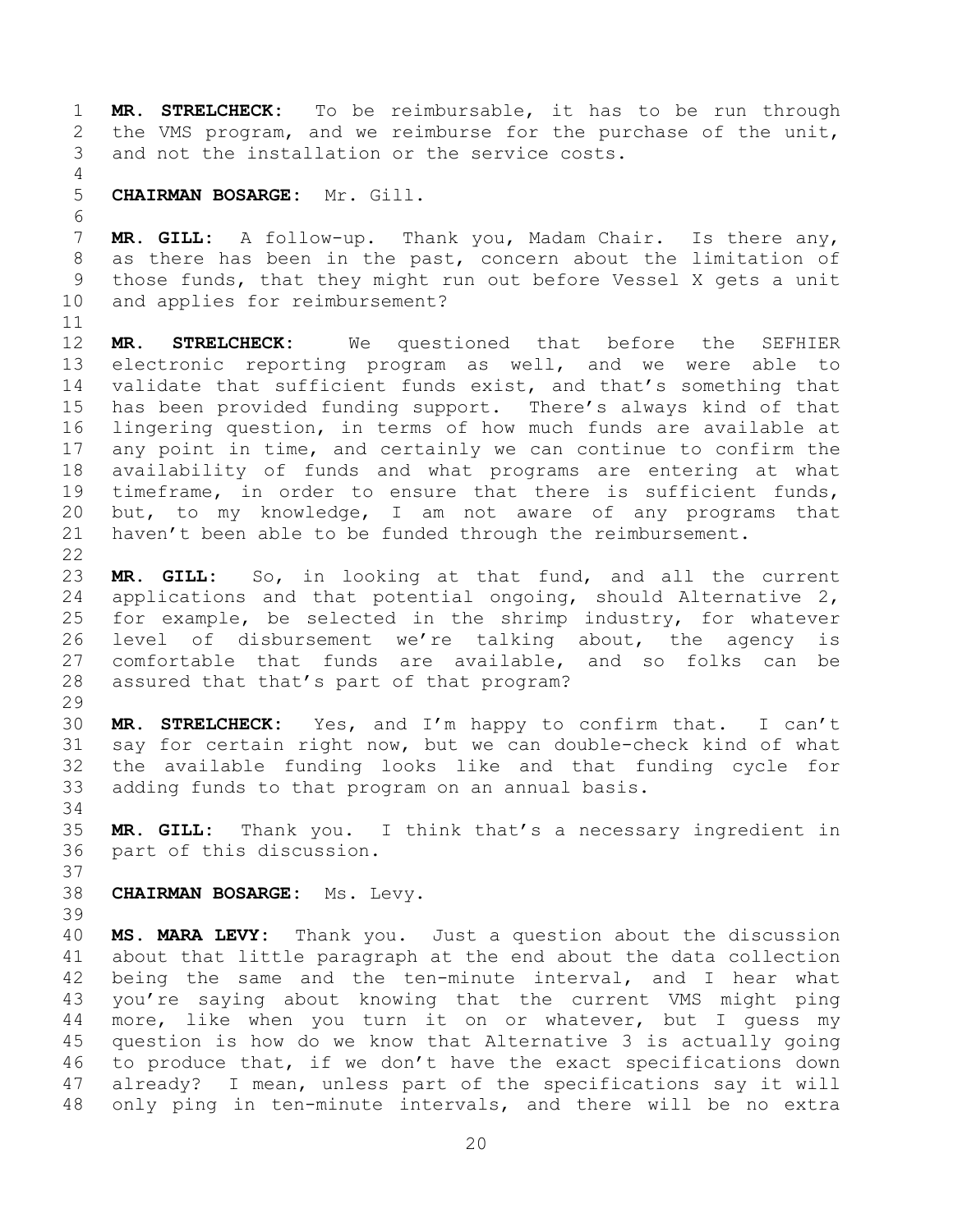**MR. STRELCHECK:** To be reimbursable, it has to be run through the VMS program, and we reimburse for the purchase of the unit, and not the installation or the service costs. **CHAIRMAN BOSARGE:** Mr. Gill. **MR. GILL:** A follow-up. Thank you, Madam Chair. Is there any, as there has been in the past, concern about the limitation of those funds, that they might run out before Vessel X gets a unit and applies for reimbursement? **MR. STRELCHECK:** We questioned that before the SEFHIER electronic reporting program as well, and we were able to validate that sufficient funds exist, and that's something that has been provided funding support. There's always kind of that lingering question, in terms of how much funds are available at any point in time, and certainly we can continue to confirm the availability of funds and what programs are entering at what timeframe, in order to ensure that there is sufficient funds, but, to my knowledge, I am not aware of any programs that 21 haven't been able to be funded through the reimbursement. **MR. GILL:** So, in looking at that fund, and all the current applications and that potential ongoing, should Alternative 2, for example, be selected in the shrimp industry, for whatever level of disbursement we're talking about, the agency is comfortable that funds are available, and so folks can be assured that that's part of that program? **MR. STRELCHECK:** Yes, and I'm happy to confirm that. I can't say for certain right now, but we can double-check kind of what the available funding looks like and that funding cycle for adding funds to that program on an annual basis. **MR. GILL:** Thank you. I think that's a necessary ingredient in part of this discussion. **CHAIRMAN BOSARGE:** Ms. Levy. **MS. MARA LEVY:** Thank you. Just a question about the discussion about that little paragraph at the end about the data collection being the same and the ten-minute interval, and I hear what you're saying about knowing that the current VMS might ping more, like when you turn it on or whatever, but I guess my question is how do we know that Alternative 3 is actually going to produce that, if we don't have the exact specifications down already? I mean, unless part of the specifications say it will only ping in ten-minute intervals, and there will be no extra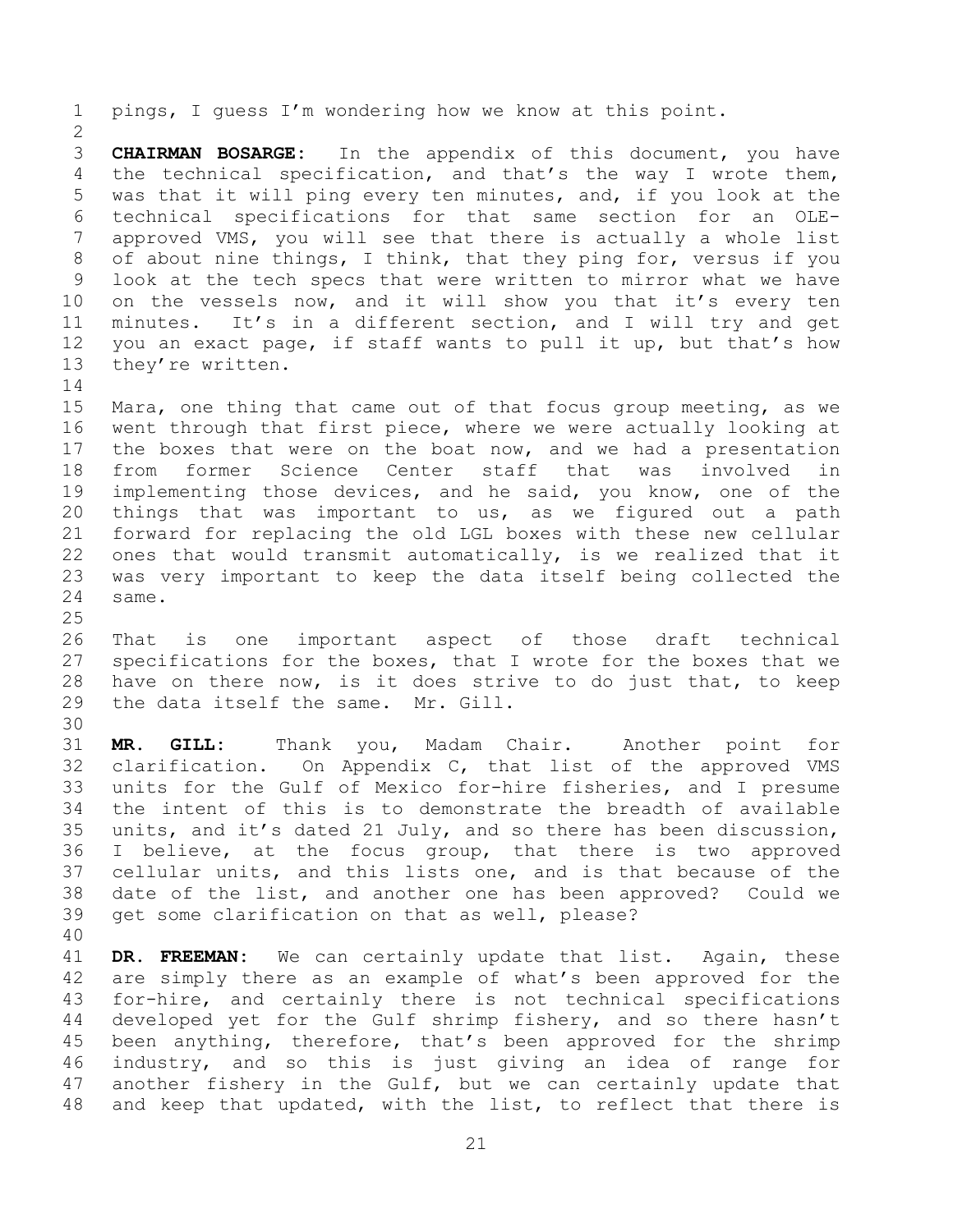pings, I guess I'm wondering how we know at this point. **CHAIRMAN BOSARGE:** In the appendix of this document, you have the technical specification, and that's the way I wrote them, was that it will ping every ten minutes, and, if you look at the technical specifications for that same section for an OLE- approved VMS, you will see that there is actually a whole list of about nine things, I think, that they ping for, versus if you look at the tech specs that were written to mirror what we have 10 on the vessels now, and it will show you that it's every ten minutes. It's in a different section, and I will try and get you an exact page, if staff wants to pull it up, but that's how they're written. Mara, one thing that came out of that focus group meeting, as we went through that first piece, where we were actually looking at the boxes that were on the boat now, and we had a presentation from former Science Center staff that was involved in implementing those devices, and he said, you know, one of the things that was important to us, as we figured out a path forward for replacing the old LGL boxes with these new cellular ones that would transmit automatically, is we realized that it was very important to keep the data itself being collected the same. That is one important aspect of those draft technical specifications for the boxes, that I wrote for the boxes that we have on there now, is it does strive to do just that, to keep the data itself the same. Mr. Gill. **MR. GILL:** Thank you, Madam Chair. Another point for clarification. On Appendix C, that list of the approved VMS units for the Gulf of Mexico for-hire fisheries, and I presume the intent of this is to demonstrate the breadth of available units, and it's dated 21 July, and so there has been discussion, I believe, at the focus group, that there is two approved cellular units, and this lists one, and is that because of the date of the list, and another one has been approved? Could we get some clarification on that as well, please? **DR. FREEMAN:** We can certainly update that list. Again, these are simply there as an example of what's been approved for the

 for-hire, and certainly there is not technical specifications developed yet for the Gulf shrimp fishery, and so there hasn't been anything, therefore, that's been approved for the shrimp industry, and so this is just giving an idea of range for another fishery in the Gulf, but we can certainly update that and keep that updated, with the list, to reflect that there is